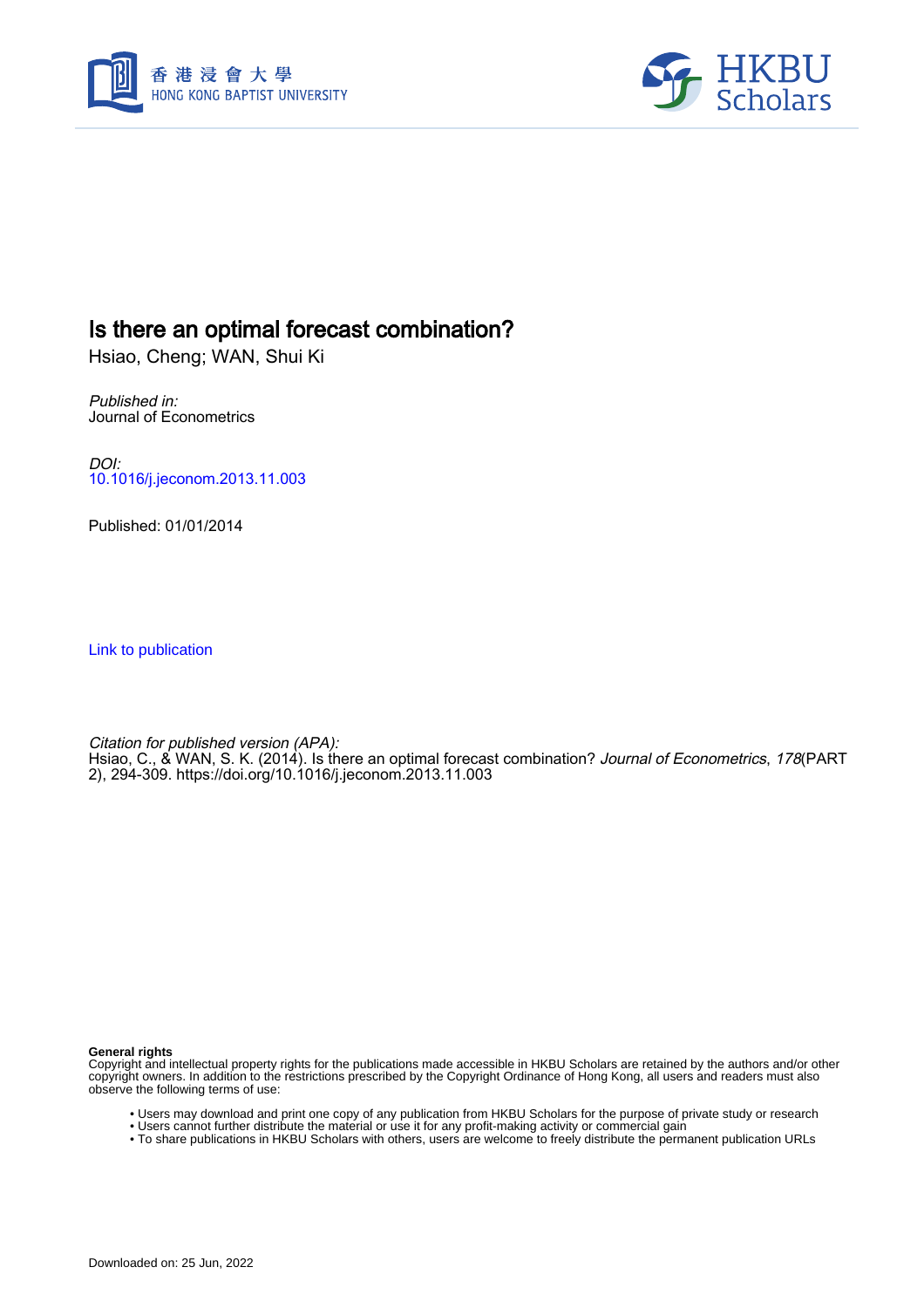



## Is there an optimal forecast combination?

Hsiao, Cheng; WAN, Shui Ki

Published in: Journal of Econometrics

DOI: [10.1016/j.jeconom.2013.11.003](https://doi.org/10.1016/j.jeconom.2013.11.003)

Published: 01/01/2014

[Link to publication](https://scholars.hkbu.edu.hk/en/publications/a70ce3dd-9994-4e89-b1af-1808e120a962)

Citation for published version (APA): Hsiao, C., & WAN, S. K. (2014). Is there an optimal forecast combination? *Journal of Econometrics, 178*(PART 2), 294-309. <https://doi.org/10.1016/j.jeconom.2013.11.003>

**General rights**

Copyright and intellectual property rights for the publications made accessible in HKBU Scholars are retained by the authors and/or other copyright owners. In addition to the restrictions prescribed by the Copyright Ordinance of Hong Kong, all users and readers must also observe the following terms of use:

- Users may download and print one copy of any publication from HKBU Scholars for the purpose of private study or research
- Users cannot further distribute the material or use it for any profit-making activity or commercial gain
- To share publications in HKBU Scholars with others, users are welcome to freely distribute the permanent publication URLs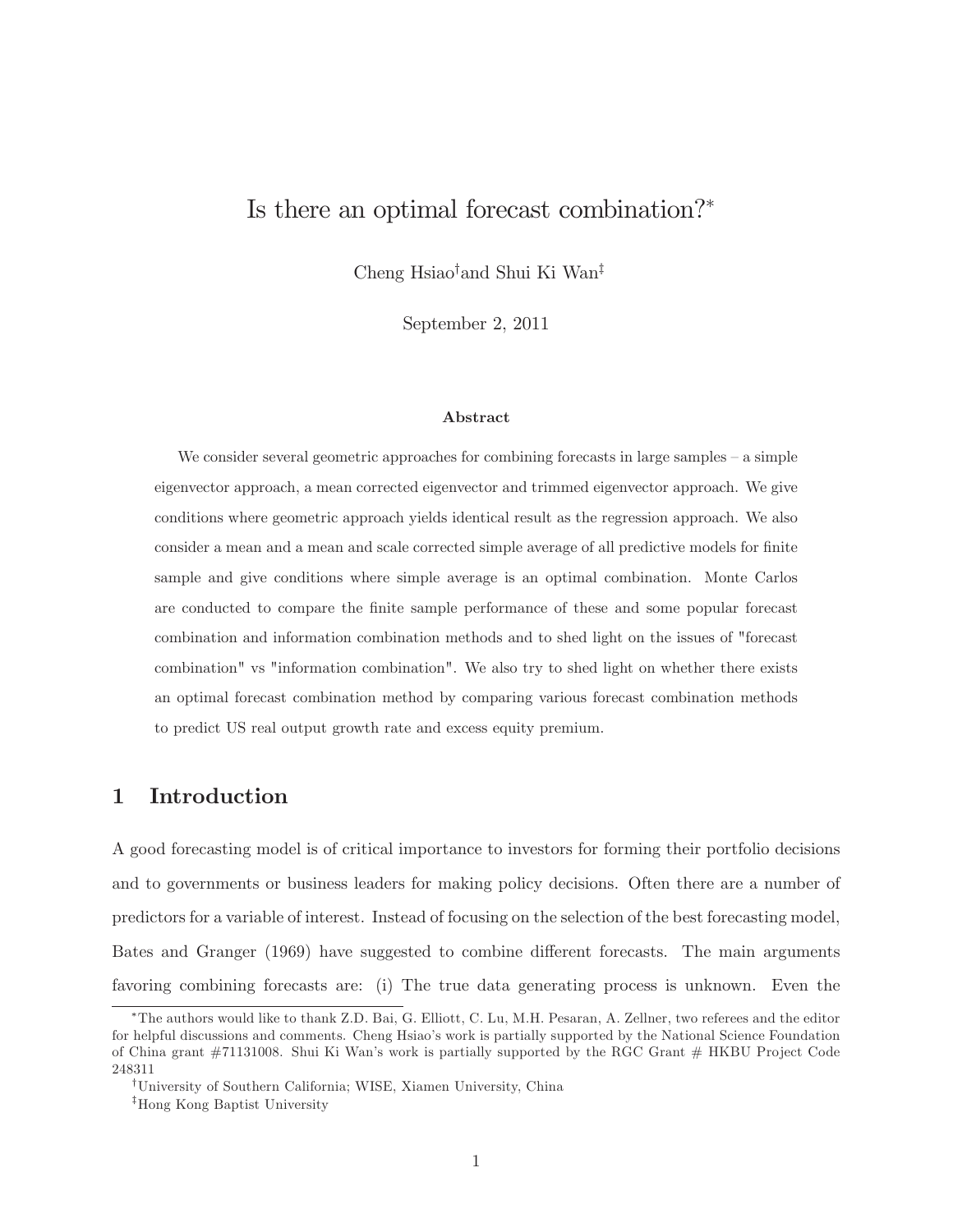# Is there an optimal forecast combination?

Cheng Hsiao<sup>†</sup>and Shui Ki Wan<sup>‡</sup>

September 2, 2011

#### Abstract

We consider several geometric approaches for combining forecasts in large samples  $-$  a simple eigenvector approach, a mean corrected eigenvector and trimmed eigenvector approach. We give conditions where geometric approach yields identical result as the regression approach. We also consider a mean and a mean and scale corrected simple average of all predictive models for finite sample and give conditions where simple average is an optimal combination. Monte Carlos are conducted to compare the finite sample performance of these and some popular forecast combination and information combination methods and to shed light on the issues of "forecast combination" vs "information combination". We also try to shed light on whether there exists an optimal forecast combination method by comparing various forecast combination methods to predict US real output growth rate and excess equity premium.

## 1 Introduction

A good forecasting model is of critical importance to investors for forming their portfolio decisions and to governments or business leaders for making policy decisions. Often there are a number of predictors for a variable of interest. Instead of focusing on the selection of the best forecasting model, Bates and Granger (1969) have suggested to combine different forecasts. The main arguments favoring combining forecasts are: (i) The true data generating process is unknown. Even the

The authors would like to thank Z.D. Bai, G. Elliott, C. Lu, M.H. Pesaran, A. Zellner, two referees and the editor for helpful discussions and comments. Cheng Hsiao's work is partially supported by the National Science Foundation of China grant #71131008. Shui Ki Wan's work is partially supported by the RGC Grant # HKBU Project Code 248311

<sup>&</sup>lt;sup>†</sup>University of Southern California; WISE, Xiamen University, China

<sup>&</sup>lt;sup>‡</sup>Hong Kong Baptist University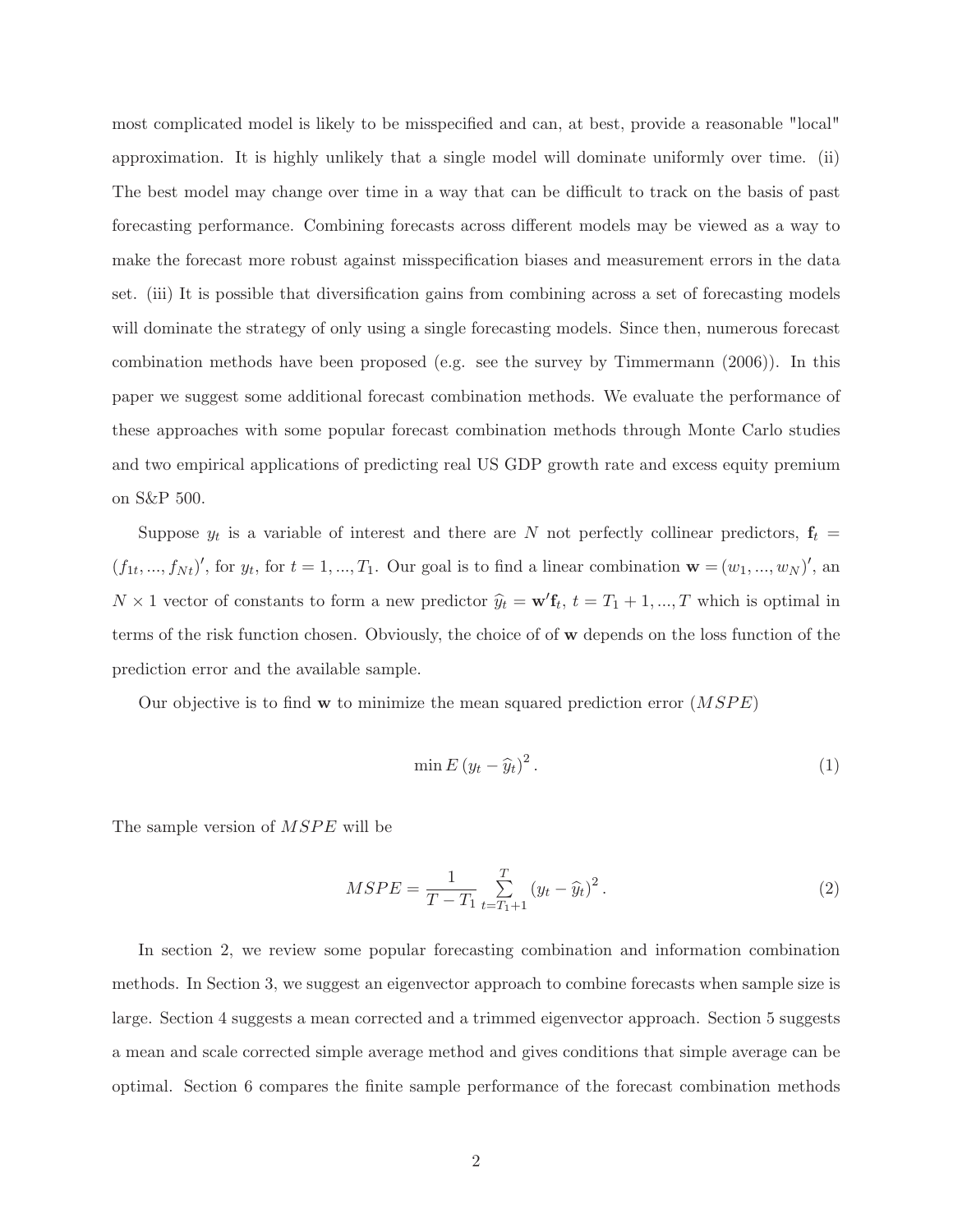most complicated model is likely to be misspecified and can, at best, provide a reasonable "local" approximation. It is highly unlikely that a single model will dominate uniformly over time. (ii) The best model may change over time in a way that can be difficult to track on the basis of past forecasting performance. Combining forecasts across different models may be viewed as a way to make the forecast more robust against misspecification biases and measurement errors in the data set. (iii) It is possible that diversification gains from combining across a set of forecasting models will dominate the strategy of only using a single forecasting models. Since then, numerous forecast combination methods have been proposed (e.g. see the survey by Timmermann (2006)). In this paper we suggest some additional forecast combination methods. We evaluate the performance of these approaches with some popular forecast combination methods through Monte Carlo studies and two empirical applications of predicting real US GDP growth rate and excess equity premium on S&P 500.

Suppose  $y_t$  is a variable of interest and there are N not perfectly collinear predictors,  $\mathbf{f}_t$  =  $(f_1, ..., f_{N_t})'$ , for  $y_t$ , for  $t = 1, ..., T_1$ . Our goal is to find a linear combination  $\mathbf{w} = (w_1, ..., w_N)'$ , and  $N \times 1$  vector of constants to form a new predictor  $\hat{y}_t = \mathbf{w}' \mathbf{f}_t$ ,  $t = T_1 + 1, ..., T$  which is optimal in terms of the risk function chosen. Obviously, the choice of of w depends on the loss function of the prediction error and the available sample.

Our objective is to find w to minimize the mean squared prediction error  $(MSPE)$ 

$$
\min E\left(y_t - \widehat{y}_t\right)^2. \tag{1}
$$

The sample version of  $MSPE$  will be

$$
MSPE = \frac{1}{T - T_1} \sum_{t = T_1 + 1}^{T} (y_t - \widehat{y}_t)^2.
$$
 (2)

In section 2, we review some popular forecasting combination and information combination methods. In Section 3, we suggest an eigenvector approach to combine forecasts when sample size is large. Section 4 suggests a mean corrected and a trimmed eigenvector approach. Section 5 suggests a mean and scale corrected simple average method and gives conditions that simple average can be optimal. Section 6 compares the nite sample performance of the forecast combination methods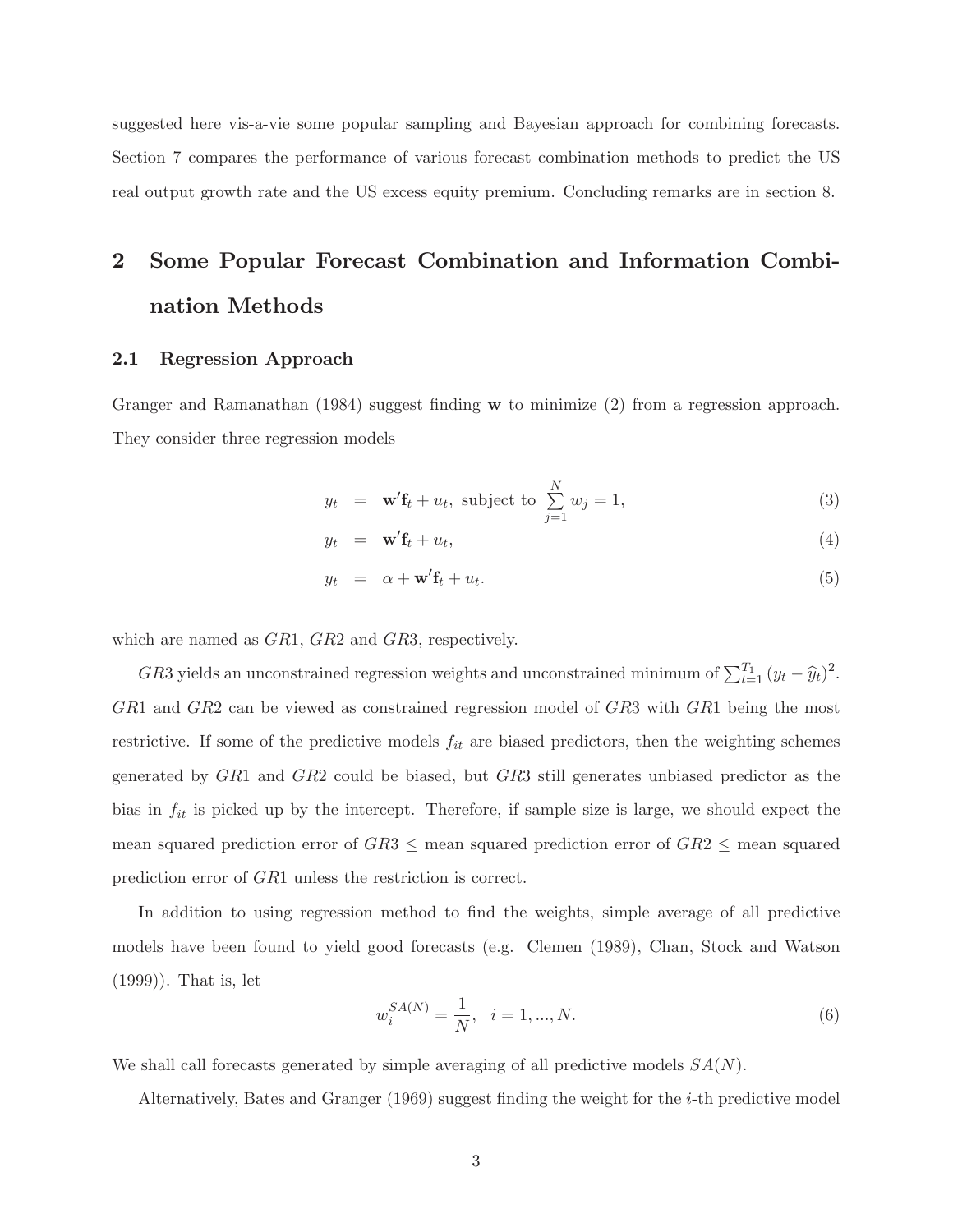suggested here vis-a-vie some popular sampling and Bayesian approach for combining forecasts. Section 7 compares the performance of various forecast combination methods to predict the US real output growth rate and the US excess equity premium. Concluding remarks are in section 8.

# 2 Some Popular Forecast Combination and Information Combination Methods

#### 2.1 Regression Approach

Granger and Ramanathan (1984) suggest finding  $w$  to minimize (2) from a regression approach. They consider three regression models

$$
y_t = \mathbf{w}' \mathbf{f}_t + u_t, \text{ subject to } \sum_{j=1}^{N} w_j = 1,
$$
\n(3)

$$
y_t = \mathbf{w}' \mathbf{f}_t + u_t, \tag{4}
$$

$$
y_t = \alpha + \mathbf{w}' \mathbf{f}_t + u_t. \tag{5}
$$

which are named as  $GR1, GR2$  and  $GR3$ , respectively.

GR3 yields an unconstrained regression weights and unconstrained minimum of  $\sum_{t=1}^{T_1} (y_t - \hat{y}_t)^2$ . GR1 and GR2 can be viewed as constrained regression model of GR3 with GR1 being the most restrictive. If some of the predictive models  $f_{it}$  are biased predictors, then the weighting schemes generated by GR1 and GR2 could be biased, but GR3 still generates unbiased predictor as the bias in  $f_{it}$  is picked up by the intercept. Therefore, if sample size is large, we should expect the mean squared prediction error of  $GR3 \le$  mean squared prediction error of  $GR2 \le$  mean squared prediction error of GR1 unless the restriction is correct.

In addition to using regression method to find the weights, simple average of all predictive models have been found to yield good forecasts (e.g. Clemen (1989), Chan, Stock and Watson (1999)). That is, let

$$
w_i^{SA(N)} = \frac{1}{N}, \quad i = 1, ..., N. \tag{6}
$$

We shall call forecasts generated by simple averaging of all predictive models  $SA(N)$ .

Alternatively, Bates and Granger  $(1969)$  suggest finding the weight for the *i*-th predictive model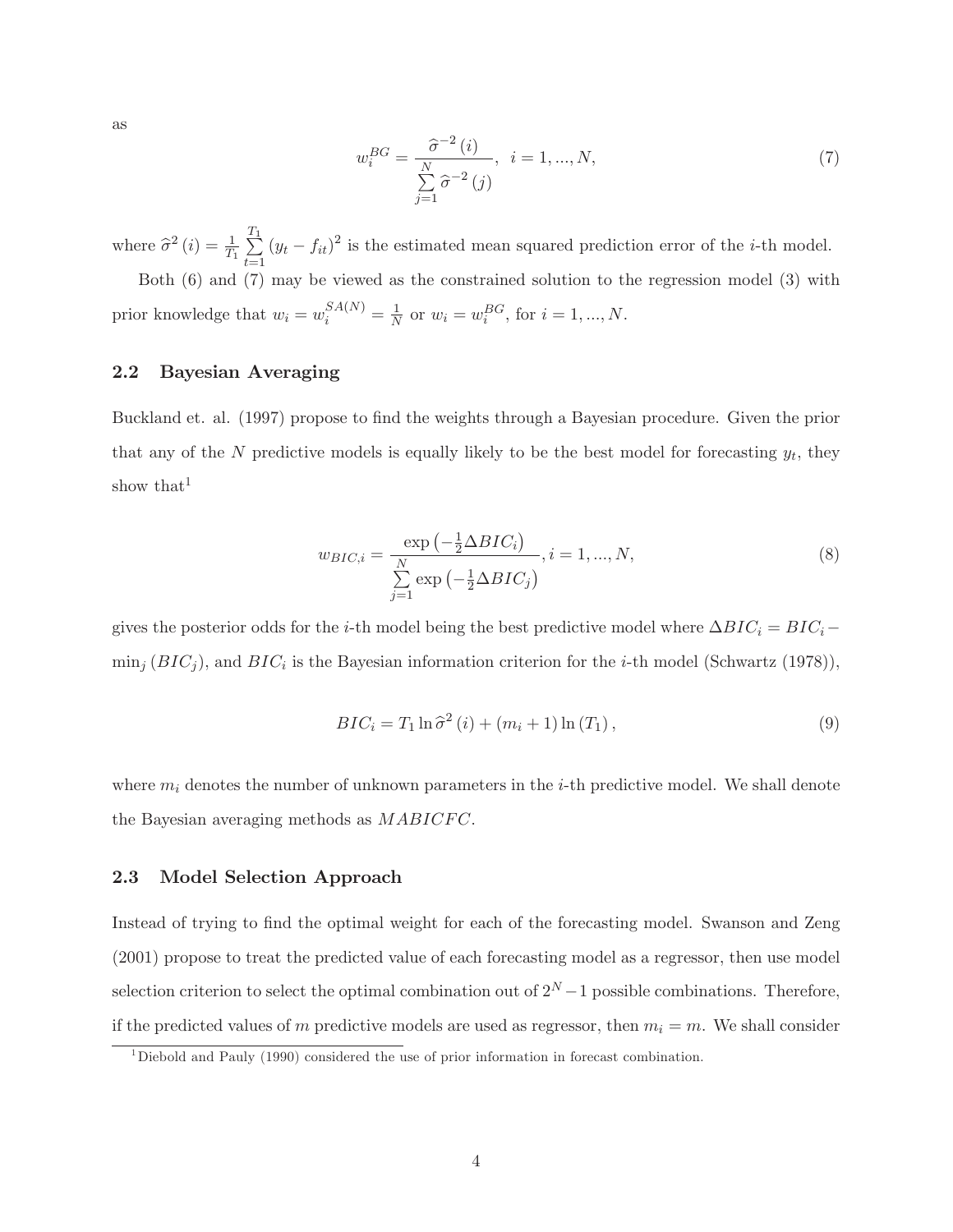as

$$
w_i^{BG} = \frac{\hat{\sigma}^{-2}(i)}{\sum_{j=1}^N \hat{\sigma}^{-2}(j)}, \ i = 1, ..., N,
$$
\n(7)

where  $\hat{\sigma}^2(i) = \frac{1}{T_1} \sum_{t=1}^{T_1}$  $\sum_{t=1}^{1} (y_t - f_{it})^2$  is the estimated mean squared prediction error of the *i*-th model. Both (6) and (7) may be viewed as the constrained solution to the regression model (3) with

prior knowledge that  $w_i = w_i^{SA(N)} = \frac{1}{N}$  $\frac{1}{N}$  or  $w_i = w_i^{BG}$ , for  $i = 1, ..., N$ .

### 2.2 Bayesian Averaging

Buckland et. al. (1997) propose to find the weights through a Bayesian procedure. Given the prior that any of the N predictive models is equally likely to be the best model for forecasting  $y_t$ , they show that<sup>1</sup>

$$
w_{BIC,i} = \frac{\exp\left(-\frac{1}{2}\Delta BIC_i\right)}{\sum\limits_{j=1}^{N} \exp\left(-\frac{1}{2}\Delta BIC_j\right)}, i = 1, ..., N,
$$
\n(8)

gives the posterior odds for the *i*-th model being the best predictive model where  $\Delta BIC_i = BIC_i$  - $\min_j (BIC_j)$ , and  $BIC_i$  is the Bayesian information criterion for the *i*-th model (Schwartz (1978)),

$$
BIC_i = T_1 \ln \hat{\sigma}^2 (i) + (m_i + 1) \ln (T_1), \qquad (9)
$$

where  $m_i$  denotes the number of unknown parameters in the *i*-th predictive model. We shall denote the Bayesian averaging methods as  $MABICFC$ .

## 2.3 Model Selection Approach

Instead of trying to find the optimal weight for each of the forecasting model. Swanson and Zeng (2001) propose to treat the predicted value of each forecasting model as a regressor, then use model selection criterion to select the optimal combination out of  $2^N - 1$  possible combinations. Therefore, if the predicted values of m predictive models are used as regressor, then  $m_i = m$ . We shall consider

 $1$ Diebold and Pauly (1990) considered the use of prior information in forecast combination.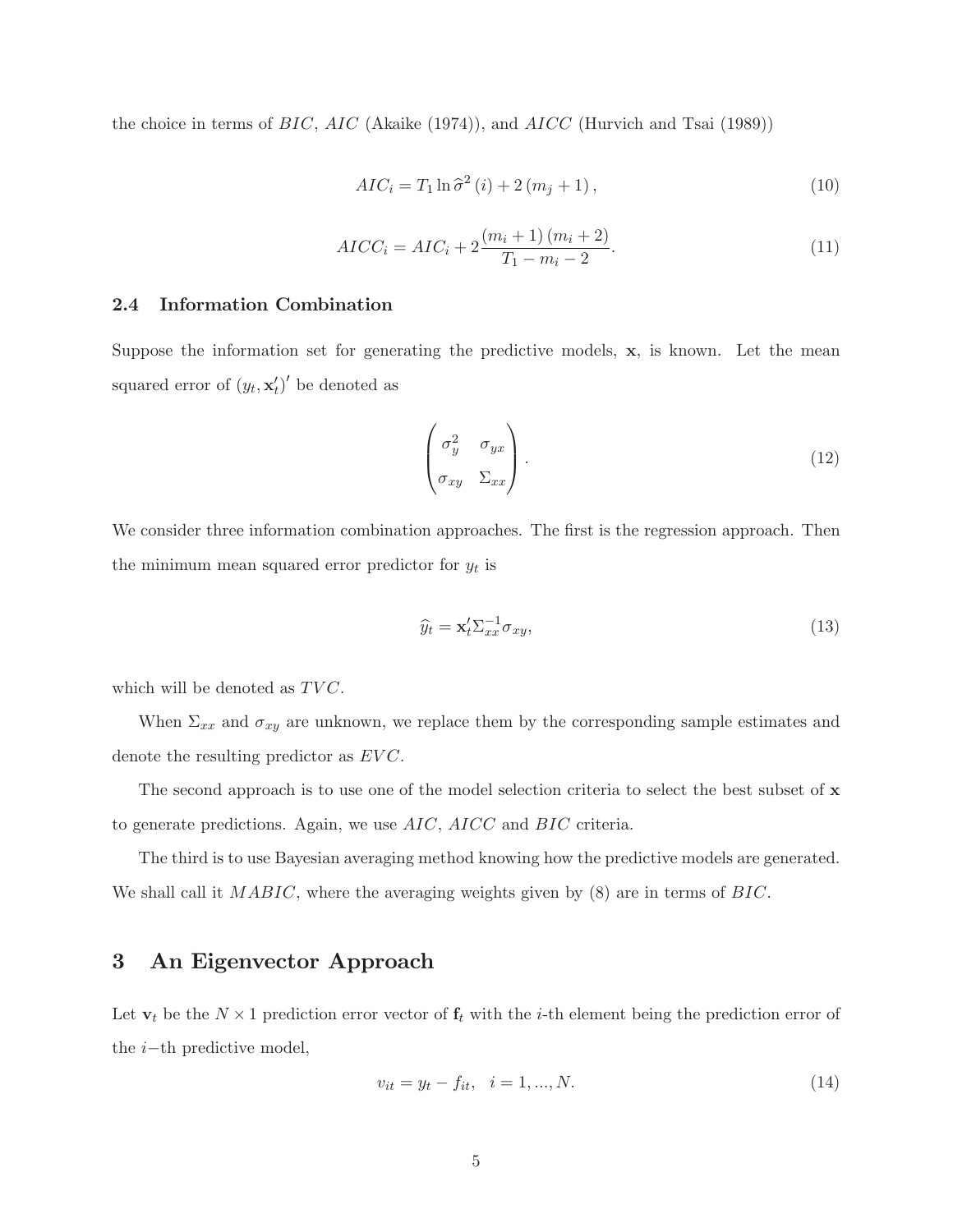the choice in terms of  $BIC$ ,  $AIC$  (Akaike (1974)), and  $AICC$  (Hurvich and Tsai (1989))

$$
AIC_i = T_1 \ln \hat{\sigma}^2 \left( i \right) + 2 \left( m_j + 1 \right), \tag{10}
$$

$$
AICC_i = AIC_i + 2\frac{(m_i + 1)(m_i + 2)}{T_1 - m_i - 2}.
$$
\n(11)

### 2.4 Information Combination

Suppose the information set for generating the predictive models,  $x$ , is known. Let the mean squared error of  $(y_t, \mathbf{x}'_t)'$  be denoted as

$$
\begin{pmatrix} \sigma_y^2 & \sigma_{yx} \\ \sigma_{xy} & \Sigma_{xx} \end{pmatrix} . \tag{12}
$$

We consider three information combination approaches. The first is the regression approach. Then the minimum mean squared error predictor for  $y_t$  is

$$
\widehat{y}_t = \mathbf{x}_t' \Sigma_{xx}^{-1} \sigma_{xy},\tag{13}
$$

which will be denoted as  $TVC$ .

When  $\Sigma_{xx}$  and  $\sigma_{xy}$  are unknown, we replace them by the corresponding sample estimates and denote the resulting predictor as  $EVC$ .

The second approach is to use one of the model selection criteria to select the best subset of x to generate predictions. Again, we use AIC, AICC and BIC criteria.

The third is to use Bayesian averaging method knowing how the predictive models are generated. We shall call it  $MABIC$ , where the averaging weights given by  $(8)$  are in terms of  $BIC$ .

## 3 An Eigenvector Approach

Let  $\mathbf{v}_t$  be the  $N \times 1$  prediction error vector of  $\mathbf{f}_t$  with the *i*-th element being the prediction error of the  $i$ -th predictive model,

$$
v_{it} = y_t - f_{it}, \quad i = 1, ..., N. \tag{14}
$$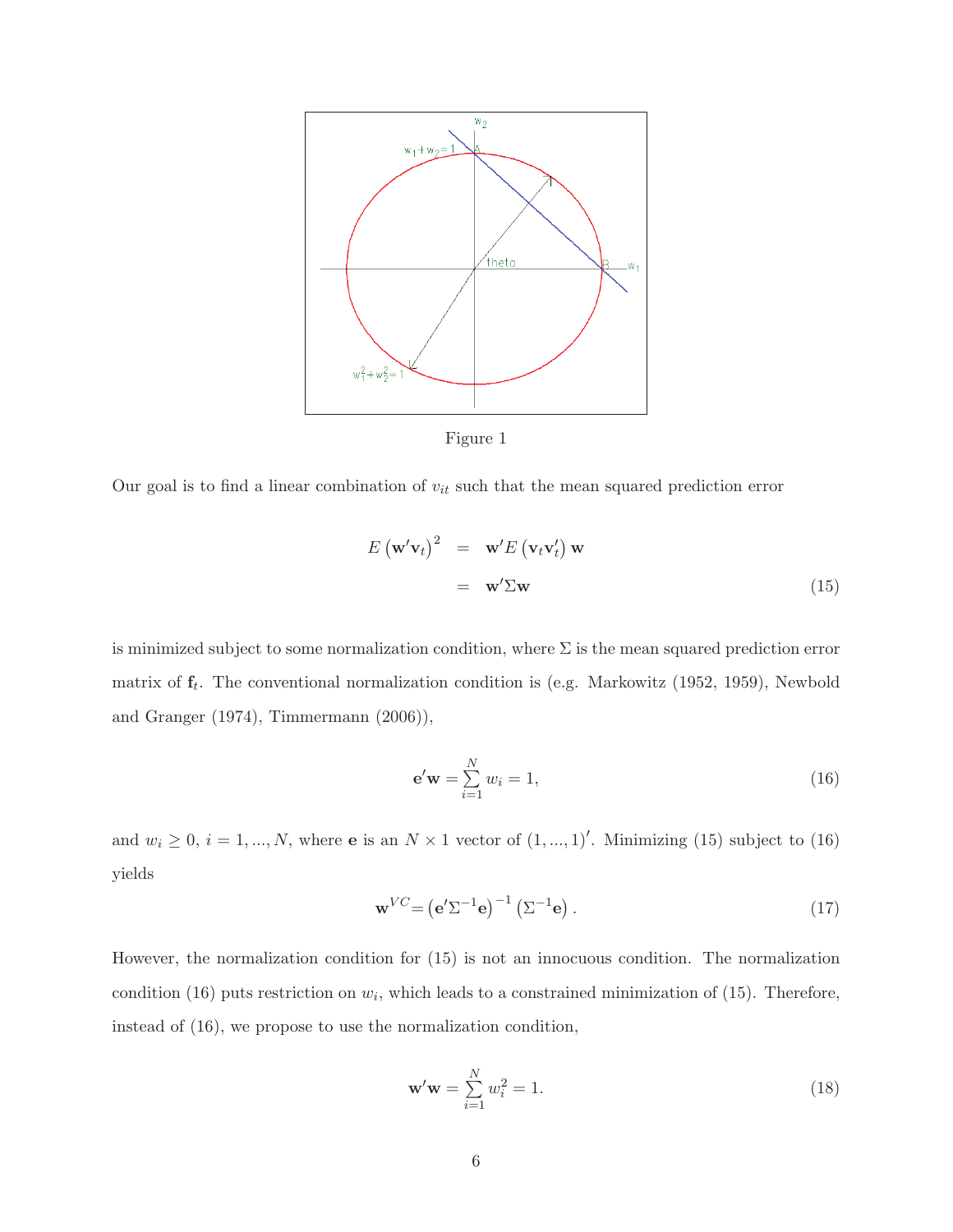

Figure 1

Our goal is to find a linear combination of  $v_{it}$  such that the mean squared prediction error

$$
E(\mathbf{w}'\mathbf{v}_t)^2 = \mathbf{w}' E(\mathbf{v}_t \mathbf{v}'_t) \mathbf{w}
$$
  
=  $\mathbf{w}' \Sigma \mathbf{w}$  (15)

is minimized subject to some normalization condition, where  $\Sigma$  is the mean squared prediction error matrix of  $f_t$ . The conventional normalization condition is (e.g. Markowitz (1952, 1959), Newbold and Granger (1974), Timmermann (2006)),

$$
\mathbf{e}'\mathbf{w} = \sum_{i=1}^{N} w_i = 1,\tag{16}
$$

and  $w_i \geq 0$ ,  $i = 1, ..., N$ , where **e** is an  $N \times 1$  vector of  $(1, ..., 1)'$ . Minimizing (15) subject to (16) yields

$$
\mathbf{w}^{VC} = \left(\mathbf{e}^{\prime} \Sigma^{-1} \mathbf{e}\right)^{-1} \left(\Sigma^{-1} \mathbf{e}\right). \tag{17}
$$

However, the normalization condition for (15) is not an innocuous condition. The normalization condition (16) puts restriction on  $w_i$ , which leads to a constrained minimization of (15). Therefore, instead of (16), we propose to use the normalization condition,

$$
\mathbf{w}'\mathbf{w} = \sum_{i=1}^{N} w_i^2 = 1.
$$
 (18)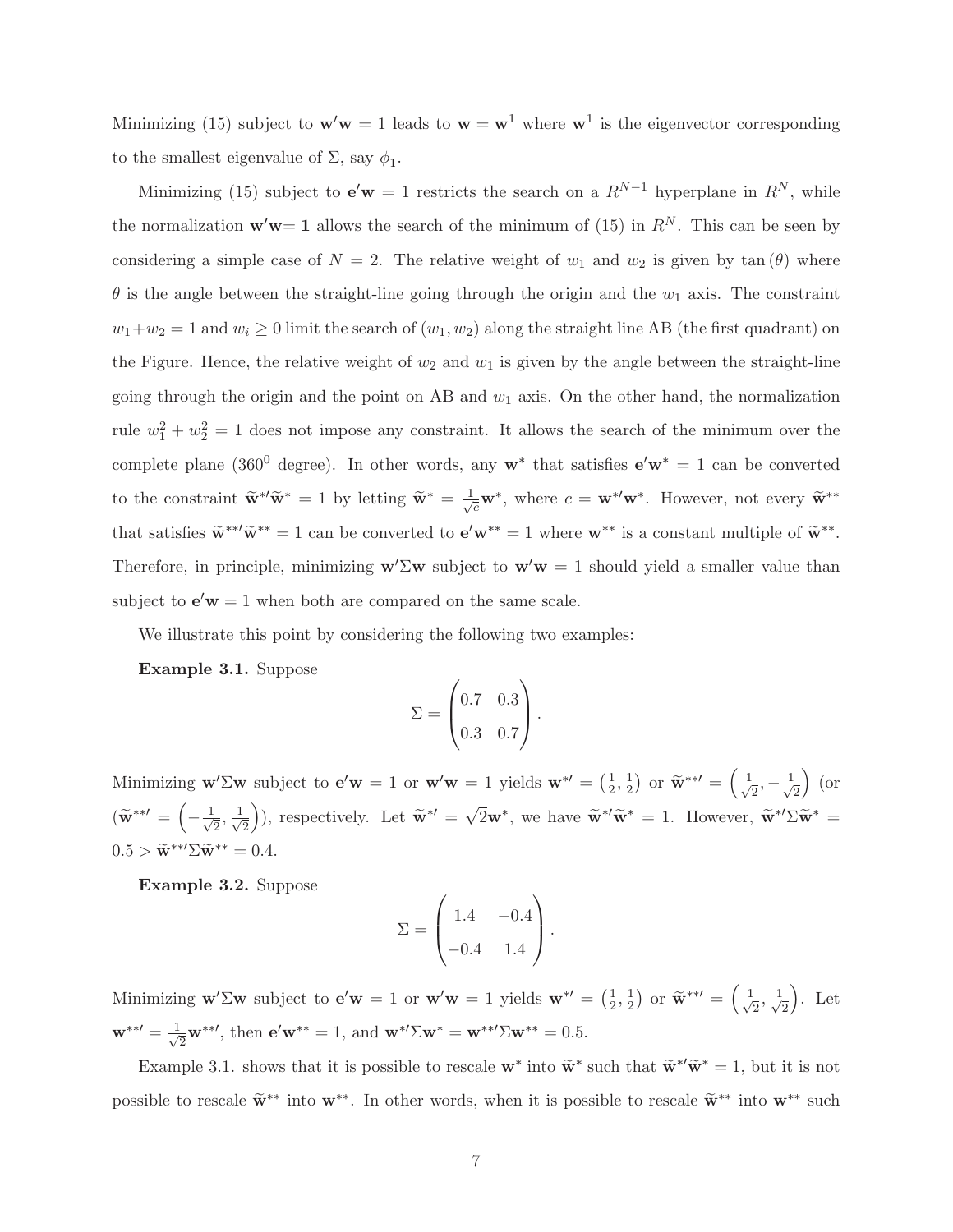Minimizing (15) subject to  $w'w = 1$  leads to  $w = w^1$  where  $w^1$  is the eigenvector corresponding to the smallest eigenvalue of  $\Sigma$ , say  $\phi_1$ .

Minimizing (15) subject to  $e'w = 1$  restricts the search on a  $R^{N-1}$  hyperplane in  $R^N$ , while the normalization  $\mathbf{w}'\mathbf{w} = 1$  allows the search of the minimum of (15) in  $R^N$ . This can be seen by considering a simple case of  $N = 2$ . The relative weight of  $w_1$  and  $w_2$  is given by  $\tan(\theta)$  where  $\theta$  is the angle between the straight-line going through the origin and the  $w_1$  axis. The constraint  $w_1+w_2 = 1$  and  $w_i \ge 0$  limit the search of  $(w_1, w_2)$  along the straight line AB (the first quadrant) on the Figure. Hence, the relative weight of  $w_2$  and  $w_1$  is given by the angle between the straight-line going through the origin and the point on AB and  $w_1$  axis. On the other hand, the normalization rule  $w_1^2 + w_2^2 = 1$  does not impose any constraint. It allows the search of the minimum over the complete plane (360<sup>0</sup> degree). In other words, any  $w^*$  that satisfies  $e'w^* = 1$  can be converted to the constraint  $\widetilde{\mathbf{w}}^{*}$  = 1 by letting  $\widetilde{\mathbf{w}}^{*} = \frac{1}{\sqrt{c}} \mathbf{w}^{*}$ , where  $c = \mathbf{w}^{*}$ ' $\mathbf{w}^{*}$ . However, not every  $\widetilde{\mathbf{w}}^{**}$ that satisfies  $\widetilde{\mathbf{w}}^{**}\widetilde{\mathbf{w}}^{**} = 1$  can be converted to  $\mathbf{e}'\mathbf{w}^{**} = 1$  where  $\mathbf{w}^{**}$  is a constant multiple of  $\widetilde{\mathbf{w}}^{**}$ . Therefore, in principle, minimizing  $w'\Sigma w$  subject to  $w'w = 1$  should yield a smaller value than subject to  $e'w = 1$  when both are compared on the same scale.

We illustrate this point by considering the following two examples:

Example 3.1. Suppose

$$
\Sigma = \begin{pmatrix} 0.7 & 0.3 \\ 0.3 & 0.7 \end{pmatrix}.
$$

Minimizing  $\mathbf{w}'\Sigma\mathbf{w}$  subject to  $\mathbf{e}'\mathbf{w} = 1$  or  $\mathbf{w}'\mathbf{w} = 1$  yields  $\mathbf{w}^{*\prime} = \left(\frac{1}{2}\right)$  $\frac{1}{2}, \frac{1}{2}$  $\frac{1}{2}$  or  $\widetilde{\mathbf{w}}^{**} = \left(\frac{1}{\sqrt{2}}\right)$  $\frac{1}{2}, -\frac{1}{\sqrt{2}}$ 2  $\int$  (or  $(\widetilde{\mathbf{w}}^{**\prime}$  =  $\Big($  $-\frac{1}{\sqrt{2}}$  $\frac{1}{2}, \frac{1}{\sqrt{2}}$ 2 ), respectively. Let  $\widetilde{\mathbf{w}}^{*'} = \sqrt{2}\mathbf{w}^*$ , we have  $\widetilde{\mathbf{w}}^{*'}\widetilde{\mathbf{w}}^* = 1$ . However,  $\widetilde{\mathbf{w}}^{*'}\Sigma \widetilde{\mathbf{w}}^* =$  $0.5 > \widetilde{\mathbf{w}}^{**} \Sigma \widetilde{\mathbf{w}}^{**} = 0.4.$ 

Example 3.2. Suppose

$$
\Sigma = \begin{pmatrix} 1.4 & -0.4 \\ -0.4 & 1.4 \end{pmatrix}.
$$

Minimizing  $\mathbf{w}'\Sigma\mathbf{w}$  subject to  $\mathbf{e}'\mathbf{w} = 1$  or  $\mathbf{w}'\mathbf{w} = 1$  yields  $\mathbf{w}^{*\prime} = \left(\frac{1}{2}\right)$  $\frac{1}{2}, \frac{1}{2}$  $\frac{1}{2}$  or  $\widetilde{\mathbf{w}}^{**} = \left(\frac{1}{\sqrt{2}}\right)$  $\frac{1}{2}, \frac{1}{\sqrt{2}}$ 2 . Let  $\mathbf{w}^{**} = \frac{1}{\sqrt{2}}$  $\overline{\mathbf{z}}_2^{\mathbf{w}^{**}}$ , then  $\mathbf{e}'\mathbf{w}^{**} = 1$ , and  $\mathbf{w}^{*\prime} \Sigma \mathbf{w}^{*} = \mathbf{w}^{**} \Sigma \mathbf{w}^{**} = 0.5$ .

Example 3.1. shows that it is possible to rescale  $\mathbf{w}^*$  into  $\widetilde{\mathbf{w}}^*$  such that  $\widetilde{\mathbf{w}}^{*/\widetilde{\mathbf{w}}^*} = 1$ , but it is not possible to rescale  $\widetilde{\mathbf{w}}^{**}$  into  $\mathbf{w}^{**}$ . In other words, when it is possible to rescale  $\widetilde{\mathbf{w}}^{**}$  into  $\mathbf{w}^{**}$  such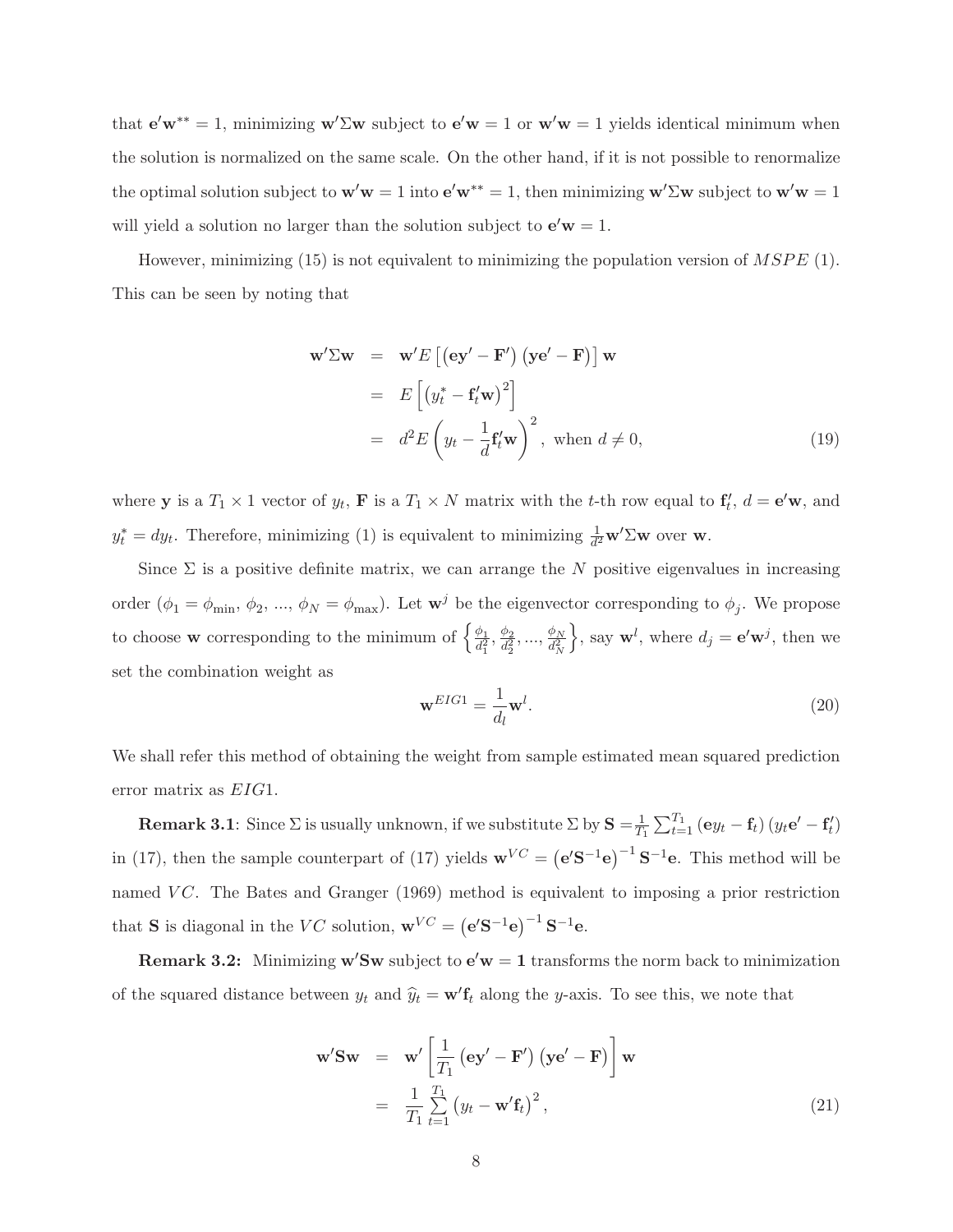that  $e'w^{**} = 1$ , minimizing  $w' \Sigma w$  subject to  $e'w = 1$  or  $w'w = 1$  yields identical minimum when the solution is normalized on the same scale. On the other hand, if it is not possible to renormalize the optimal solution subject to  $w'w = 1$  into  $e'w^{**} = 1$ , then minimizing  $w'\Sigma w$  subject to  $w'w = 1$ will yield a solution no larger than the solution subject to  $e'w = 1$ .

However, minimizing  $(15)$  is not equivalent to minimizing the population version of  $MSPE$  (1). This can be seen by noting that

$$
\mathbf{w}' \Sigma \mathbf{w} = \mathbf{w}' E \left[ (\mathbf{e} \mathbf{y}' - \mathbf{F}') (\mathbf{y} \mathbf{e}' - \mathbf{F}) \right] \mathbf{w}
$$
  
\n
$$
= E \left[ (y_t^* - \mathbf{f}_t' \mathbf{w})^2 \right]
$$
  
\n
$$
= d^2 E \left( y_t - \frac{1}{d} \mathbf{f}_t' \mathbf{w} \right)^2, \text{ when } d \neq 0,
$$
 (19)

where **y** is a  $T_1 \times 1$  vector of  $y_t$ , **F** is a  $T_1 \times N$  matrix with the *t*-th row equal to  $f'_t$ ,  $d = e'$ **w**, and  $y_t^* = dy_t$ . Therefore, minimizing (1) is equivalent to minimizing  $\frac{1}{d^2} \mathbf{w}' \Sigma \mathbf{w}$  over w.

Since  $\Sigma$  is a positive definite matrix, we can arrange the N positive eigenvalues in increasing order  $(\phi_1 = \phi_{\min}, \phi_2, ..., \phi_N = \phi_{\max})$ . Let  $\mathbf{w}^j$  be the eigenvector corresponding to  $\phi_j$ . We propose to choose **w** corresponding to the minimum of  $\begin{cases} \frac{\phi_1}{d^2} \end{cases}$  $\frac{\phi_1}{d_1^2}, \frac{\phi_2}{d_2^2}$  $\frac{\phi_2}{d_2^2},...,\frac{\phi_N}{d_N^2}$  $\overline{d_N^2}$  $\Big\}$ , say  $\mathbf{w}^l$ , where  $d_j = \mathbf{e}'\mathbf{w}^j$ , then we set the combination weight as

$$
\mathbf{w}^{EIG1} = \frac{1}{d_l} \mathbf{w}^l. \tag{20}
$$

We shall refer this method of obtaining the weight from sample estimated mean squared prediction error matrix as EIG1.

**Remark 3.1**: Since  $\Sigma$  is usually unknown, if we substitute  $\Sigma$  by  $\mathbf{S} = \frac{1}{T}$  $\frac{1}{T_1}\sum_{t=1}^{T_1}\left(\mathbf{e}y_t-\mathbf{f}_t\right)\left(y_t\mathbf{e}'-\mathbf{f}'_t\right)$ in (17), then the sample counterpart of (17) yields  $\mathbf{w}^{VC} = (\mathbf{e}^{\prime} \mathbf{S}^{-1} \mathbf{e})^{-1} \mathbf{S}^{-1} \mathbf{e}$ . This method will be named VC. The Bates and Granger (1969) method is equivalent to imposing a prior restriction that **S** is diagonal in the VC solution,  $\mathbf{w}^{VC} = (\mathbf{e}'\mathbf{S}^{-1}\mathbf{e})^{-1}\mathbf{S}^{-1}\mathbf{e}$ .

**Remark 3.2:** Minimizing  $w'Sw$  subject to  $e'w = 1$  transforms the norm back to minimization of the squared distance between  $y_t$  and  $\hat{y}_t = \mathbf{w}' \mathbf{f}_t$  along the y-axis. To see this, we note that

$$
\mathbf{w}'\mathbf{S}\mathbf{w} = \mathbf{w}' \left[ \frac{1}{T_1} \left( \mathbf{e} \mathbf{y}' - \mathbf{F}' \right) \left( \mathbf{y} \mathbf{e}' - \mathbf{F} \right) \right] \mathbf{w}
$$
  
=  $\frac{1}{T_1} \sum_{t=1}^{T_1} \left( y_t - \mathbf{w}' \mathbf{f}_t \right)^2,$  (21)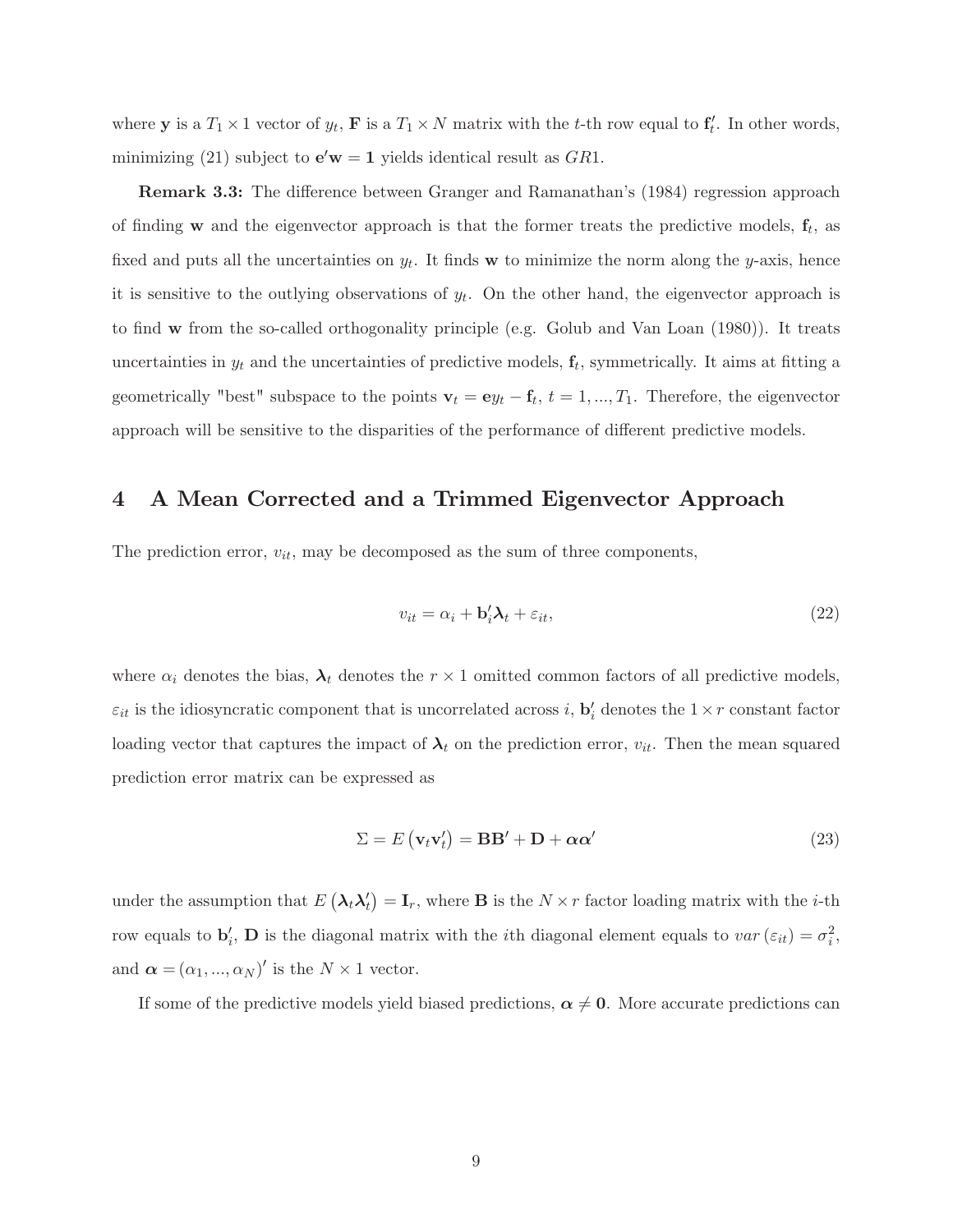where **y** is a  $T_1 \times 1$  vector of  $y_t$ , **F** is a  $T_1 \times N$  matrix with the *t*-th row equal to  $\mathbf{f}'_t$ . In other words, minimizing (21) subject to  $\mathbf{e}'\mathbf{w} = \mathbf{1}$  yields identical result as  $GR1$ .

**Remark 3.3:** The difference between Granger and Ramanathan's (1984) regression approach of finding w and the eigenvector approach is that the former treats the predictive models,  $f_t$ , as fixed and puts all the uncertainties on  $y_t$ . It finds **w** to minimize the norm along the y-axis, hence it is sensitive to the outlying observations of  $y_t$ . On the other hand, the eigenvector approach is to find  $w$  from the so-called orthogonality principle (e.g. Golub and Van Loan  $(1980)$ ). It treats uncertainties in  $y_t$  and the uncertainties of predictive models,  $\mathbf{f}_t$ , symmetrically. It aims at fitting a geometrically "best" subspace to the points  $\mathbf{v}_t = \mathbf{e}y_t - \mathbf{f}_t$ ,  $t = 1, ..., T_1$ . Therefore, the eigenvector approach will be sensitive to the disparities of the performance of different predictive models.

## 4 A Mean Corrected and a Trimmed Eigenvector Approach

The prediction error,  $v_{it}$ , may be decomposed as the sum of three components,

$$
v_{it} = \alpha_i + \mathbf{b}_i' \mathbf{\lambda}_t + \varepsilon_{it},\tag{22}
$$

where  $\alpha_i$  denotes the bias,  $\lambda_t$  denotes the  $r \times 1$  omitted common factors of all predictive models,  $\varepsilon_{it}$  is the idiosyncratic component that is uncorrelated across i,  $\mathbf{b}'_i$  denotes the  $1 \times r$  constant factor loading vector that captures the impact of  $\lambda_t$  on the prediction error,  $v_{it}$ . Then the mean squared prediction error matrix can be expressed as

$$
\Sigma = E(\mathbf{v}_t \mathbf{v}_t') = \mathbf{B} \mathbf{B}' + \mathbf{D} + \alpha \alpha'
$$
\n(23)

under the assumption that  $E(\lambda_t \lambda_t') = I_r$ , where **B** is the  $N \times r$  factor loading matrix with the *i*-th row equals to  $\mathbf{b}'_i$ , **D** is the diagonal matrix with the *i*th diagonal element equals to  $var(\varepsilon_{it}) = \sigma_i^2$ , and  $\boldsymbol{\alpha} = (\alpha_1, ..., \alpha_N)'$  is the  $N \times 1$  vector.

If some of the predictive models yield biased predictions,  $\alpha \neq 0$ . More accurate predictions can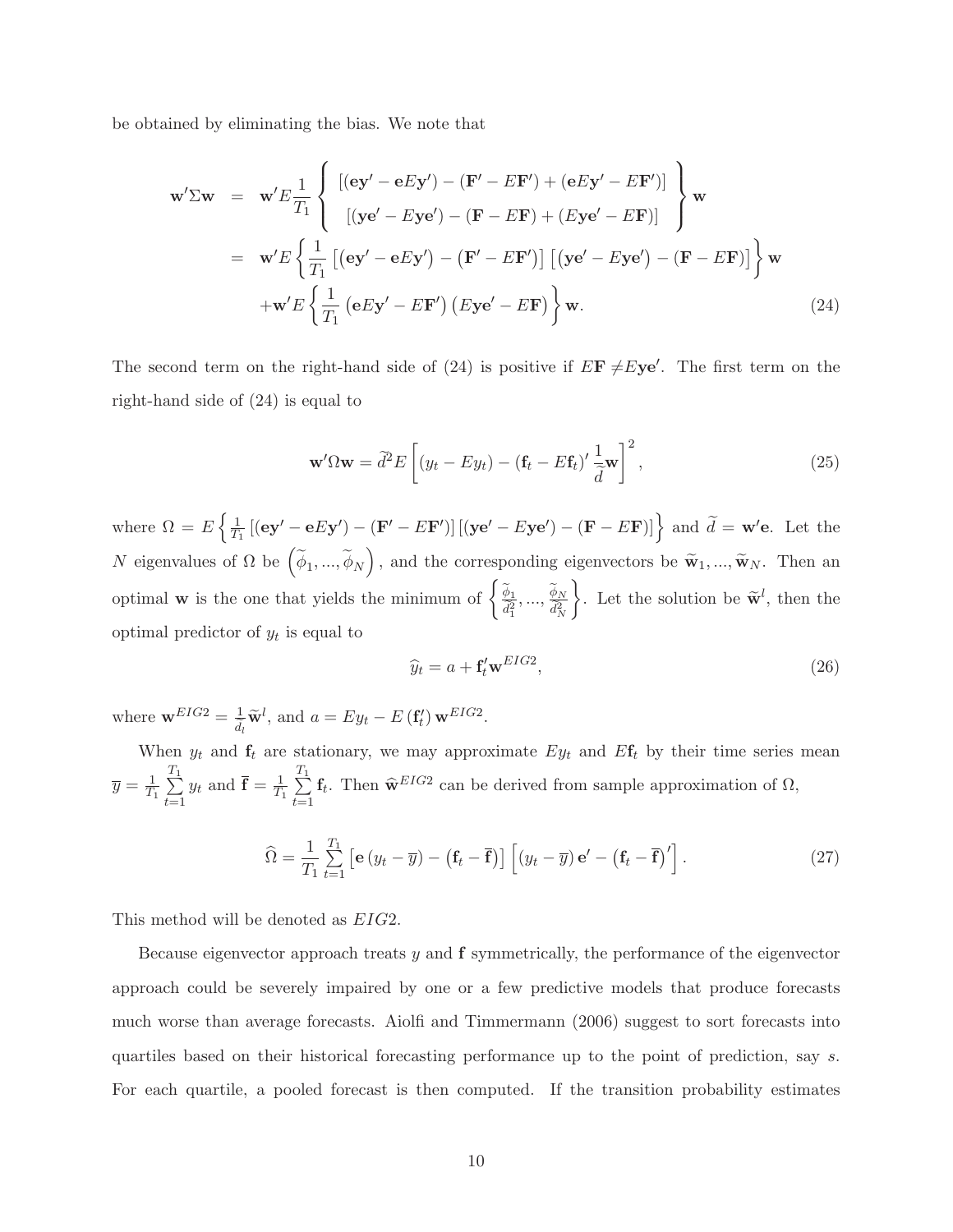be obtained by eliminating the bias. We note that

$$
\mathbf{w}'\Sigma\mathbf{w} = \mathbf{w}'E\frac{1}{T_1}\left\{\begin{aligned} &\left[ (\mathbf{e}\mathbf{y}' - \mathbf{e}E\mathbf{y}') - (\mathbf{F}' - E\mathbf{F}') + (\mathbf{e}E\mathbf{y}' - E\mathbf{F}') \right] \\ &\left[ (\mathbf{y}\mathbf{e}' - E\mathbf{y}\mathbf{e}') - (\mathbf{F} - E\mathbf{F}) + (E\mathbf{y}\mathbf{e}' - E\mathbf{F}) \right] \end{aligned} \right\}\mathbf{w}
$$
  
=  $\mathbf{w}'E\left\{\frac{1}{T_1}\left[ (\mathbf{e}\mathbf{y}' - \mathbf{e}E\mathbf{y}') - (\mathbf{F}' - E\mathbf{F}') \right] \left[ (\mathbf{y}\mathbf{e}' - E\mathbf{y}\mathbf{e}') - (\mathbf{F} - E\mathbf{F}) \right] \right\}\mathbf{w}$   
+ $\mathbf{w}'E\left\{\frac{1}{T_1} (\mathbf{e}E\mathbf{y}' - E\mathbf{F}') \left( E\mathbf{y}\mathbf{e}' - E\mathbf{F} \right) \right\}\mathbf{w}.$  (24)

The second term on the right-hand side of (24) is positive if  $E\mathbf{F} \neq E\mathbf{ye}'$ . The first term on the right-hand side of (24) is equal to

$$
\mathbf{w}'\Omega\mathbf{w} = \tilde{d}^2 E\left[ (y_t - Ey_t) - (\mathbf{f}_t - E\mathbf{f}_t)' \frac{1}{\tilde{d}} \mathbf{w} \right]^2, \tag{25}
$$

where  $\Omega = E \left\{ \frac{1}{T} \right\}$  $\frac{1}{T_1}$  [(ey' - eEy') - (F' - EF')] [(ye' - Eye') - (F - EF)]} and  $\tilde{d}$  = w'e. Let the  $N$  eigenvalues of  $\Omega$  be  $\Big(\widetilde{\phi}_1,...,\widetilde{\phi}_N$ ), and the corresponding eigenvectors be  $\widetilde{\mathbf{w}}_1, ..., \widetilde{\mathbf{w}}_N$ . Then an optimal **w** is the one that yields the minimum of  $\begin{cases} \frac{\widetilde{\phi}_1}{\widetilde{d}_1^2},...,\frac{\widetilde{\phi}_N}{\widetilde{d}_N^2} \end{cases}$  $\overline{\widetilde{d}_{N}^{2}}$  $\mathcal{L}$ . Let the solution be  $\tilde{\mathbf{w}}^l$ , then the optimal predictor of  $y_t$  is equal to

$$
\widehat{y}_t = a + \mathbf{f}'_t \mathbf{w}^{EIG2},\tag{26}
$$

where  $\mathbf{w}^{EIG2} = \frac{1}{\tilde{d}_l} \tilde{\mathbf{w}}^l$ , and  $a = Ey_t - E(\mathbf{f}'_t) \mathbf{w}^{EIG2}$ .

When  $y_t$  and  $f_t$  are stationary, we may approximate  $Ey_t$  and  $Ef_t$  by their time series mean  $\overline{y} = \frac{1}{T}$  $rac{1}{T_1} \sum_{n=1}^{T_1}$  $t=1$  $y_t$  and  $\bar{\mathbf{f}} = \frac{1}{T}$  $rac{T_1}{T_1} \sum_{n=1}^{T_1}$  $t=1$  $\mathbf{f}_t$ . Then  $\widehat{\mathbf{w}}^{EIG2}$  can be derived from sample approximation of  $\Omega$ ,

$$
\widehat{\Omega} = \frac{1}{T_1} \sum_{t=1}^{T_1} \left[ \mathbf{e} \left( y_t - \overline{y} \right) - \left( \mathbf{f}_t - \overline{\mathbf{f}} \right) \right] \left[ \left( y_t - \overline{y} \right) \mathbf{e}' - \left( \mathbf{f}_t - \overline{\mathbf{f}} \right)' \right]. \tag{27}
$$

This method will be denoted as EIG2.

Because eigenvector approach treats  $y$  and  $f$  symmetrically, the performance of the eigenvector approach could be severely impaired by one or a few predictive models that produce forecasts much worse than average forecasts. Aiolfi and Timmermann  $(2006)$  suggest to sort forecasts into quartiles based on their historical forecasting performance up to the point of prediction, say s. For each quartile, a pooled forecast is then computed. If the transition probability estimates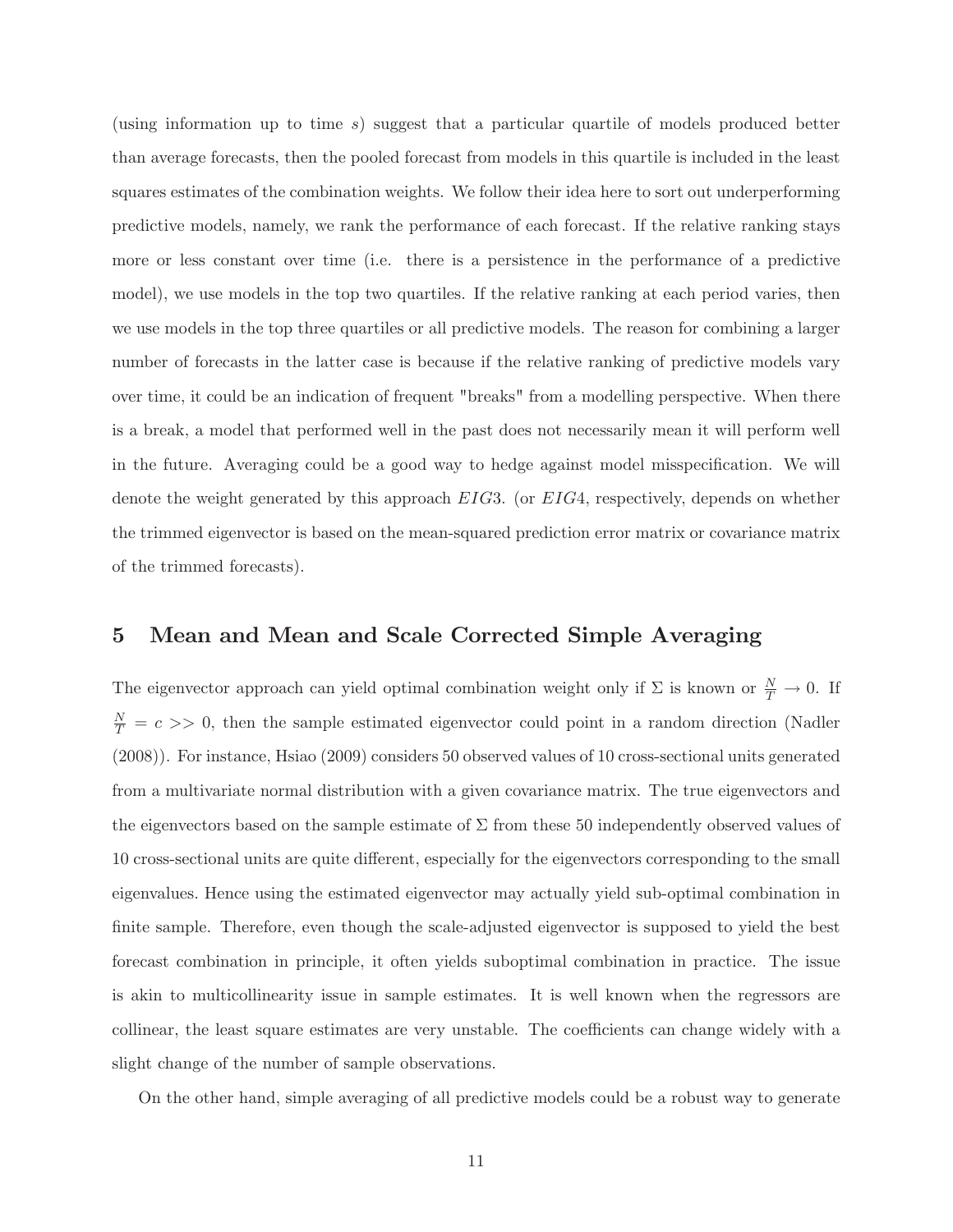(using information up to time s) suggest that a particular quartile of models produced better than average forecasts, then the pooled forecast from models in this quartile is included in the least squares estimates of the combination weights. We follow their idea here to sort out underperforming predictive models, namely, we rank the performance of each forecast. If the relative ranking stays more or less constant over time (i.e. there is a persistence in the performance of a predictive model), we use models in the top two quartiles. If the relative ranking at each period varies, then we use models in the top three quartiles or all predictive models. The reason for combining a larger number of forecasts in the latter case is because if the relative ranking of predictive models vary over time, it could be an indication of frequent "breaks" from a modelling perspective. When there is a break, a model that performed well in the past does not necessarily mean it will perform well in the future. Averaging could be a good way to hedge against model misspecification. We will denote the weight generated by this approach EIG3. (or EIG4, respectively, depends on whether the trimmed eigenvector is based on the mean-squared prediction error matrix or covariance matrix of the trimmed forecasts).

## 5 Mean and Mean and Scale Corrected Simple Averaging

The eigenvector approach can yield optimal combination weight only if  $\Sigma$  is known or  $\frac{N}{T} \to 0$ . If  $\frac{N}{T}$  = c >> 0, then the sample estimated eigenvector could point in a random direction (Nadler (2008)). For instance, Hsiao (2009) considers 50 observed values of 10 cross-sectional units generated from a multivariate normal distribution with a given covariance matrix. The true eigenvectors and the eigenvectors based on the sample estimate of  $\Sigma$  from these 50 independently observed values of 10 cross-sectional units are quite different, especially for the eigenvectors corresponding to the small eigenvalues. Hence using the estimated eigenvector may actually yield sub-optimal combination in finite sample. Therefore, even though the scale-adjusted eigenvector is supposed to yield the best forecast combination in principle, it often yields suboptimal combination in practice. The issue is akin to multicollinearity issue in sample estimates. It is well known when the regressors are collinear, the least square estimates are very unstable. The coefficients can change widely with a slight change of the number of sample observations.

On the other hand, simple averaging of all predictive models could be a robust way to generate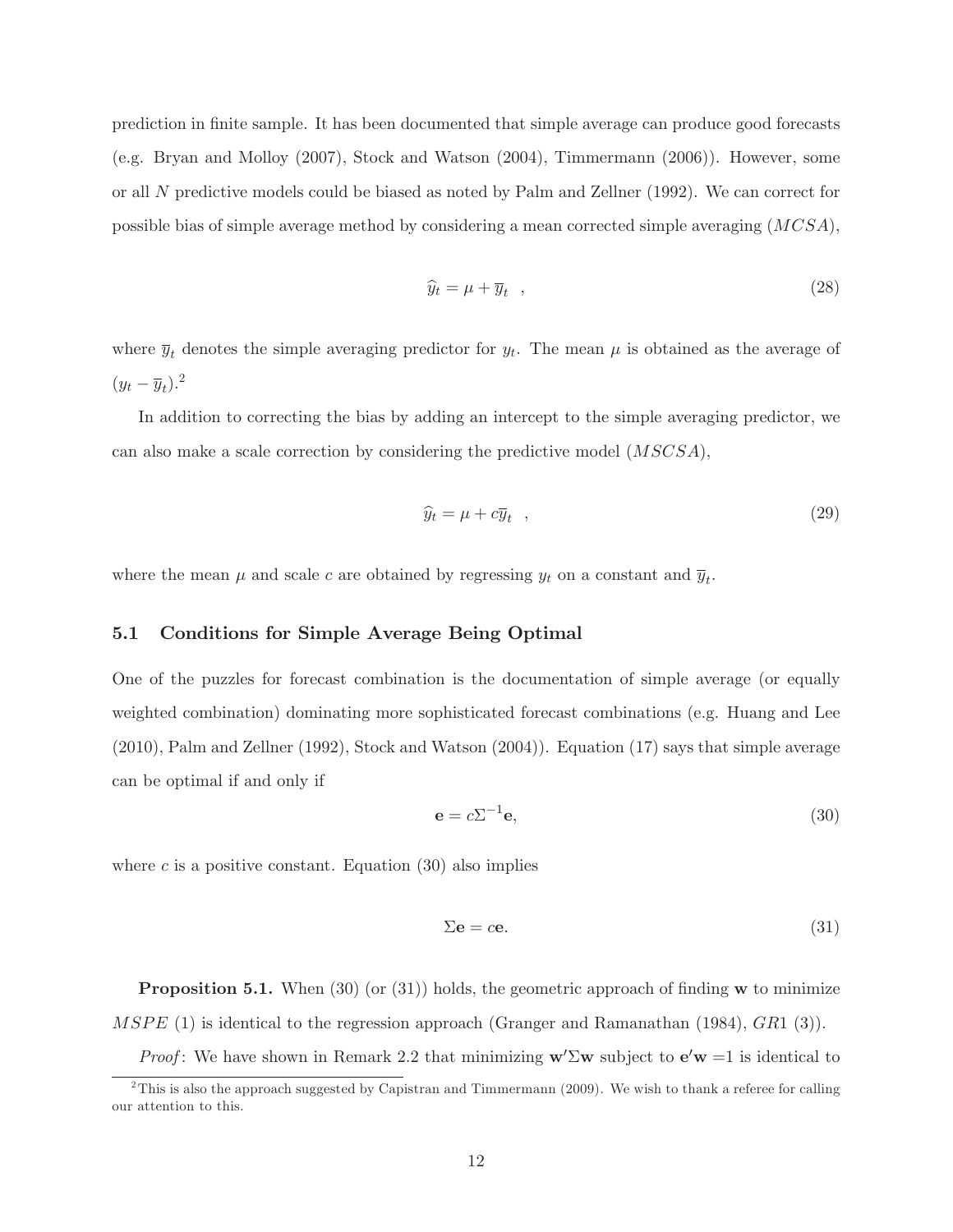prediction in nite sample. It has been documented that simple average can produce good forecasts (e.g. Bryan and Molloy (2007), Stock and Watson (2004), Timmermann (2006)). However, some or all N predictive models could be biased as noted by Palm and Zellner (1992). We can correct for possible bias of simple average method by considering a mean corrected simple averaging (MCSA),

$$
\widehat{y}_t = \mu + \overline{y}_t \quad , \tag{28}
$$

where  $\overline{y}_t$  denotes the simple averaging predictor for  $y_t$ . The mean  $\mu$  is obtained as the average of  $(y_t - \overline{y}_t)^2$ 

In addition to correcting the bias by adding an intercept to the simple averaging predictor, we can also make a scale correction by considering the predictive model (MSCSA),

$$
\widehat{y}_t = \mu + c \overline{y}_t \quad , \tag{29}
$$

where the mean  $\mu$  and scale c are obtained by regressing  $y_t$  on a constant and  $\overline{y}_t$ .

## 5.1 Conditions for Simple Average Being Optimal

One of the puzzles for forecast combination is the documentation of simple average (or equally weighted combination) dominating more sophisticated forecast combinations (e.g. Huang and Lee (2010), Palm and Zellner (1992), Stock and Watson (2004)). Equation (17) says that simple average can be optimal if and only if

$$
\mathbf{e} = c\Sigma^{-1}\mathbf{e},\tag{30}
$$

where c is a positive constant. Equation  $(30)$  also implies

$$
\Sigma \mathbf{e} = c\mathbf{e}.\tag{31}
$$

**Proposition 5.1.** When  $(30)$  (or  $(31)$ ) holds, the geometric approach of finding w to minimize MSPE (1) is identical to the regression approach (Granger and Ramanathan (1984),  $GR1$  (3)).

*Proof*: We have shown in Remark 2.2 that minimizing  $w' \Sigma w$  subject to  $e'w = 1$  is identical to

<sup>&</sup>lt;sup>2</sup>This is also the approach suggested by Capistran and Timmermann (2009). We wish to thank a referee for calling our attention to this.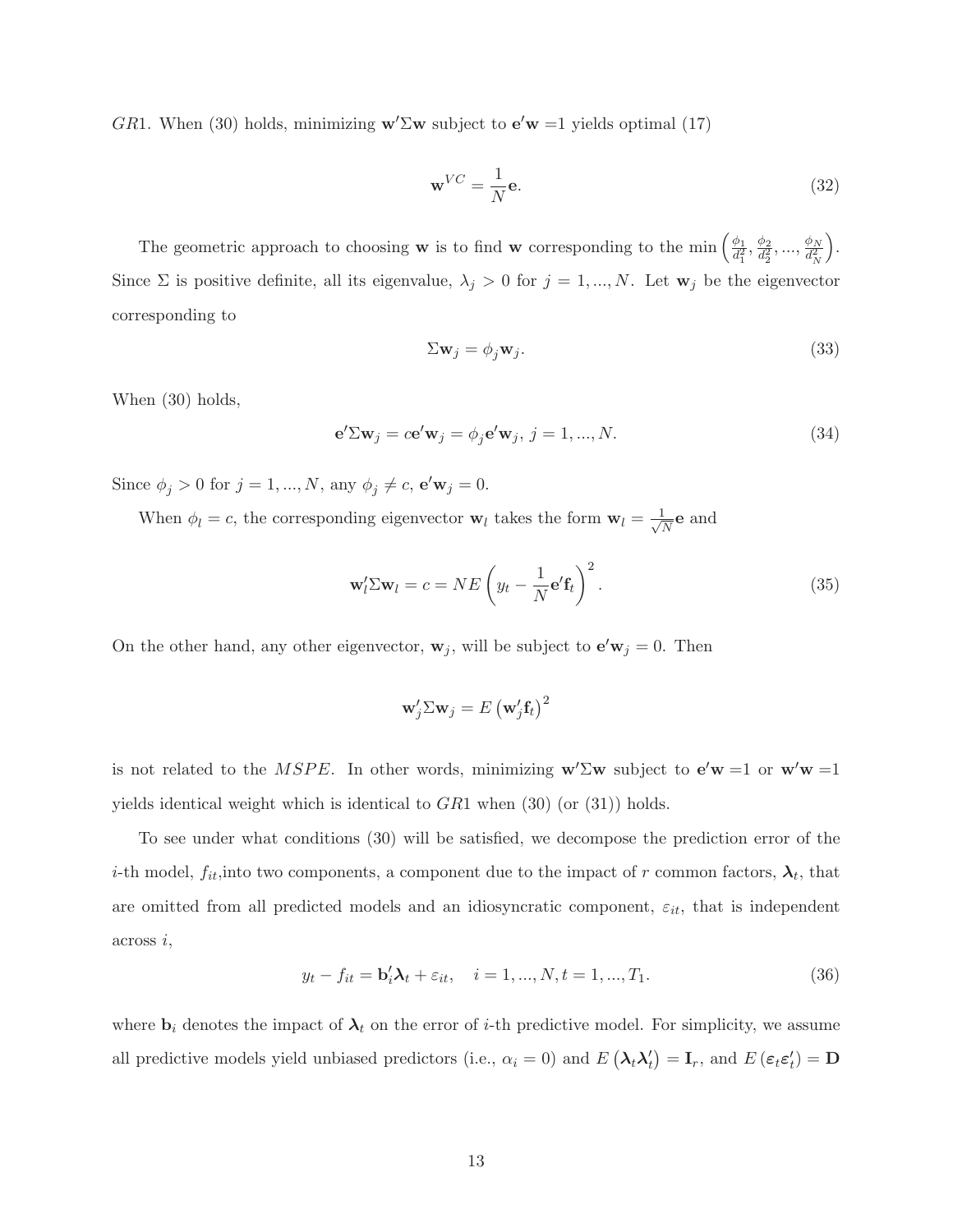GR1. When (30) holds, minimizing  $w' \Sigma w$  subject to  $e'w = 1$  yields optimal (17)

$$
\mathbf{w}^{VC} = \frac{1}{N} \mathbf{e}.\tag{32}
$$

The geometric approach to choosing **w** is to find **w** corresponding to the min  $\left(\frac{\phi_1}{d^2}\right)$  $\frac{\phi_1}{d_1^2}, \frac{\phi_2}{d_2^2}$  $\frac{\phi_2}{d_2^2},...,\frac{\phi_N}{d_N^2}$  $d_N^2$  . Since  $\Sigma$  is positive definite, all its eigenvalue,  $\lambda_j > 0$  for  $j = 1, ..., N$ . Let  $\mathbf{w}_j$  be the eigenvector corresponding to

$$
\Sigma \mathbf{w}_j = \phi_j \mathbf{w}_j. \tag{33}
$$

When (30) holds,

$$
\mathbf{e}^{\prime} \Sigma \mathbf{w}_j = c \mathbf{e}^{\prime} \mathbf{w}_j = \phi_j \mathbf{e}^{\prime} \mathbf{w}_j, \ j = 1, ..., N. \tag{34}
$$

Since  $\phi_j > 0$  for  $j = 1, ..., N$ , any  $\phi_j \neq c$ ,  $\mathbf{e}' \mathbf{w}_j = 0$ .

When  $\phi_l = c$ , the corresponding eigenvector  $\mathbf{w}_l$  takes the form  $\mathbf{w}_l = \frac{1}{\sqrt{l}}$  $\frac{1}{N}$ **e** and

$$
\mathbf{w}'_l \Sigma \mathbf{w}_l = c = NE \left( y_t - \frac{1}{N} \mathbf{e}' \mathbf{f}_t \right)^2.
$$
 (35)

On the other hand, any other eigenvector,  $w_j$ , will be subject to  $e'w_j = 0$ . Then

$$
\mathbf{w}_{j}'\Sigma\mathbf{w}_{j} = E\left(\mathbf{w}_{j}'\mathbf{f}_{t}\right)^{2}
$$

is not related to the *MSPE*. In other words, minimizing  $w' \Sigma w$  subject to  $e'w = 1$  or  $w'w = 1$ yields identical weight which is identical to  $GR1$  when  $(30)$  (or  $(31)$ ) holds.

To see under what conditions (30) will be satisfied, we decompose the prediction error of the *i*-th model,  $f_{it}$ , into two components, a component due to the impact of r common factors,  $\lambda_t$ , that are omitted from all predicted models and an idiosyncratic component,  $\varepsilon_{it}$ , that is independent across i,

$$
y_t - f_{it} = \mathbf{b}'_i \mathbf{\lambda}_t + \varepsilon_{it}, \quad i = 1, ..., N, t = 1, ..., T_1.
$$
 (36)

where  $\mathbf{b}_i$  denotes the impact of  $\lambda_t$  on the error of *i*-th predictive model. For simplicity, we assume all predictive models yield unbiased predictors (i.e.,  $\alpha_i = 0$ ) and  $E(\lambda_t \lambda_t') = I_r$ , and  $E(\epsilon_t \epsilon_t') = D$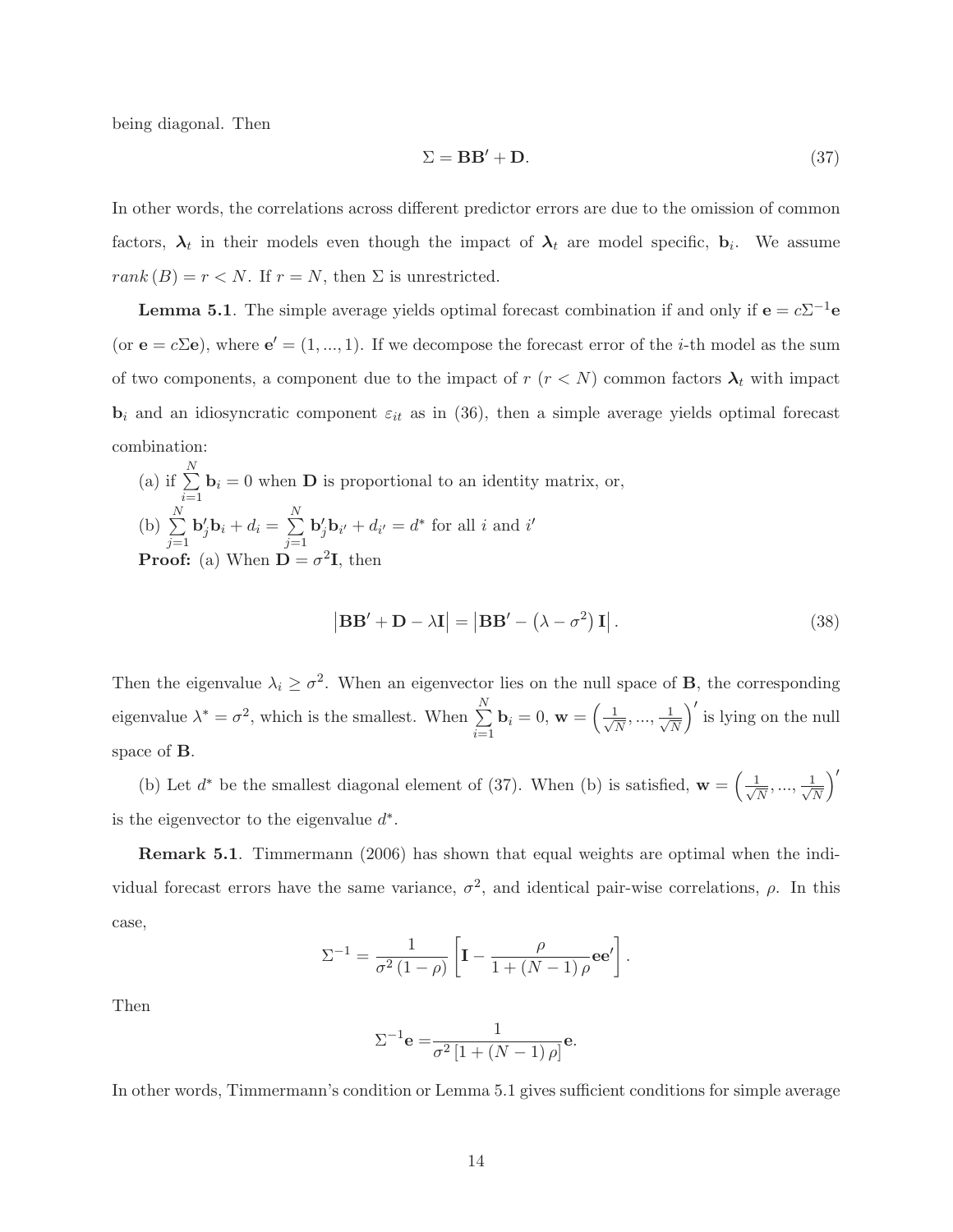being diagonal. Then

$$
\Sigma = \mathbf{B}\mathbf{B}' + \mathbf{D}.\tag{37}
$$

In other words, the correlations across different predictor errors are due to the omission of common factors,  $\lambda_t$  in their models even though the impact of  $\lambda_t$  are model specific,  $b_i$ . We assume  $rank\left( B\right) =r< N.$  If  $r=N,$  then  $\Sigma$  is unrestricted.

**Lemma 5.1**. The simple average yields optimal forecast combination if and only if  $e = c\Sigma^{-1}e$ (or  $\mathbf{e} = c\Sigma \mathbf{e}$ ), where  $\mathbf{e}' = (1, ..., 1)$ . If we decompose the forecast error of the *i*-th model as the sum of two components, a component due to the impact of  $r$  ( $r < N$ ) common factors  $\lambda_t$  with impact  $\mathbf{b}_i$  and an idiosyncratic component  $\varepsilon_{it}$  as in (36), then a simple average yields optimal forecast combination:

(a) if 
$$
\sum_{i=1}^{N} \mathbf{b}_i = 0
$$
 when **D** is proportional to an identity matrix, or,  
\n(b)  $\sum_{j=1}^{N} \mathbf{b}'_j \mathbf{b}_i + d_i = \sum_{j=1}^{N} \mathbf{b}'_j \mathbf{b}_{i'} + d_{i'} = d^*$  for all *i* and *i'*  
\n**Proof:** (a) When  $\mathbf{D} = \sigma^2 \mathbf{I}$ , then

$$
\left| \mathbf{B} \mathbf{B}' + \mathbf{D} - \lambda \mathbf{I} \right| = \left| \mathbf{B} \mathbf{B}' - \left( \lambda - \sigma^2 \right) \mathbf{I} \right|.
$$
 (38)

Then the eigenvalue  $\lambda_i \geq \sigma^2$ . When an eigenvector lies on the null space of **B**, the corresponding eigenvalue  $\lambda^* = \sigma^2$ , which is the smallest. When  $\sum^N$  $i=1$  $\mathbf{b}_i = 0, \mathbf{w} = \begin{pmatrix} \frac{1}{\sqrt{2}} \end{pmatrix}$  $\frac{1}{N},...,\frac{1}{\sqrt{j}}$ N  $\int'$  is lying on the null space of B.

(b) Let  $d^*$  be the smallest diagonal element of (37). When (b) is satisfied,  $\mathbf{w} = \begin{pmatrix} 1 \\ 1 \end{pmatrix}$  $\frac{1}{\overline{N}},...,\frac{1}{\sqrt{l}}$ N  $\setminus'$ is the eigenvector to the eigenvalue  $d^*$ .

Remark 5.1. Timmermann (2006) has shown that equal weights are optimal when the individual forecast errors have the same variance,  $\sigma^2$ , and identical pair-wise correlations,  $\rho$ . In this case,

$$
\Sigma^{-1} = \frac{1}{\sigma^2 (1 - \rho)} \left[ \mathbf{I} - \frac{\rho}{1 + (N - 1)\rho} \mathbf{e} \mathbf{e}' \right].
$$

Then

$$
\Sigma^{-1} \mathbf{e} = \frac{1}{\sigma^2 \left[1 + (N-1)\,\rho\right]} \mathbf{e}.
$$

In other words, Timmermann's condition or Lemma 5.1 gives sufficient conditions for simple average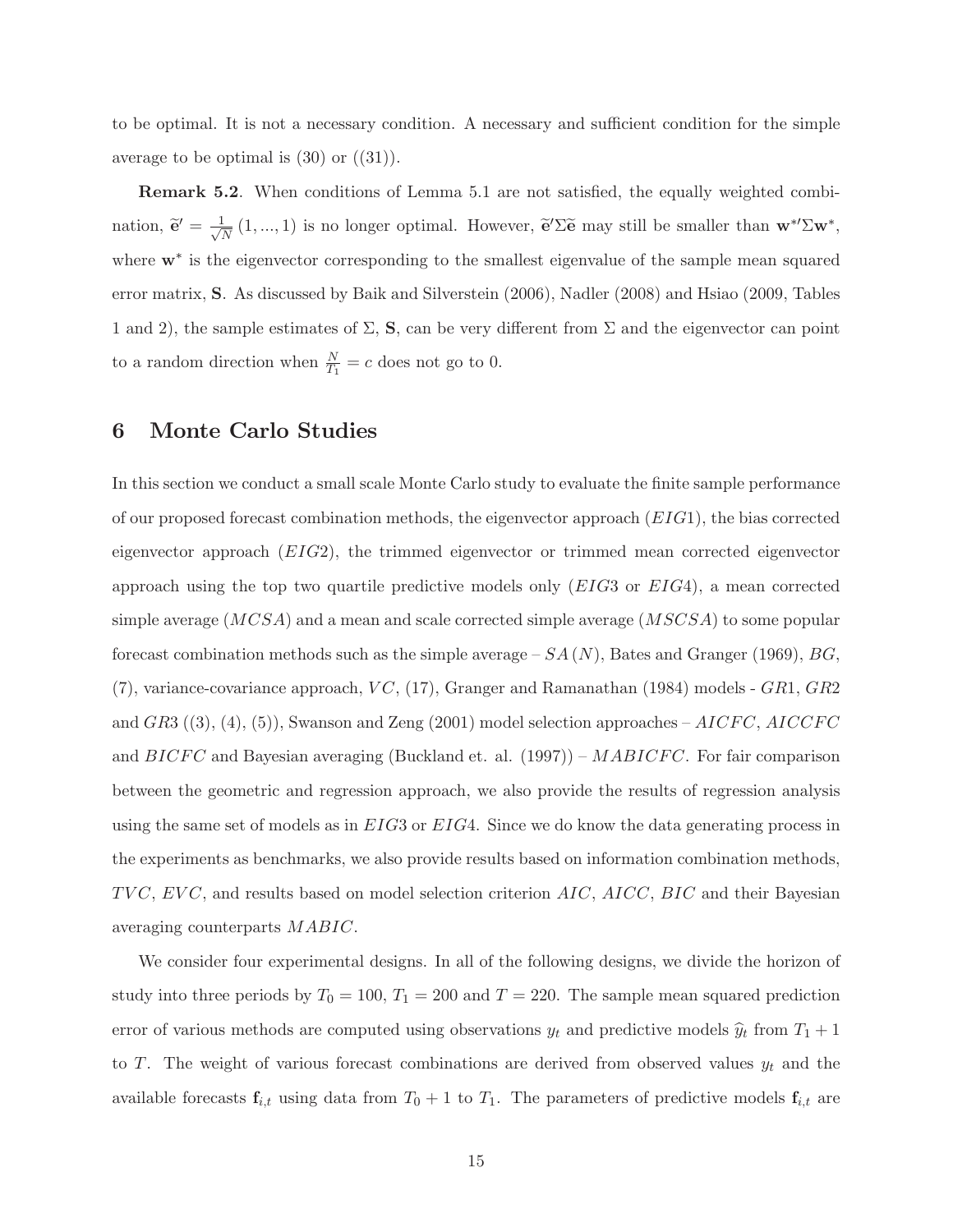to be optimal. It is not a necessary condition. A necessary and sufficient condition for the simple average to be optimal is  $(30)$  or  $((31))$ .

**Remark 5.2.** When conditions of Lemma 5.1 are not satisfied, the equally weighted combination,  $\widetilde{\mathbf{e}}' = \frac{1}{\sqrt{l}}$  $\frac{1}{N}(1,...,1)$  is no longer optimal. However,  $\tilde{\mathbf{e}}'\Sigma\tilde{\mathbf{e}}$  may still be smaller than  $\mathbf{w}^{*}\Sigma\mathbf{w}^{*}$ , where  $w^*$  is the eigenvector corresponding to the smallest eigenvalue of the sample mean squared error matrix, S. As discussed by Baik and Silverstein (2006), Nadler (2008) and Hsiao (2009, Tables 1 and 2), the sample estimates of  $\Sigma$ , S, can be very different from  $\Sigma$  and the eigenvector can point to a random direction when  $\frac{N}{T_1} = c$  does not go to 0.

## 6 Monte Carlo Studies

In this section we conduct a small scale Monte Carlo study to evaluate the finite sample performance of our proposed forecast combination methods, the eigenvector approach (EIG1), the bias corrected eigenvector approach (EIG2), the trimmed eigenvector or trimmed mean corrected eigenvector approach using the top two quartile predictive models only  $(EIG3$  or  $EIG4)$ , a mean corrected simple average  $(MCSA)$  and a mean and scale corrected simple average  $(MSCSA)$  to some popular forecast combination methods such as the simple average  $-SA (N)$ , Bates and Granger (1969), BG,  $(7)$ , variance-covariance approach,  $VC$ ,  $(17)$ , Granger and Ramanathan (1984) models - GR1, GR2 and  $GR3$  ((3), (4), (5)), Swanson and Zeng (2001) model selection approaches  $- AICFC$ ,  $AICCFC$ and  $BICFC$  and Bayesian averaging (Buckland et. al. (1997)) –  $MABICFC$ . For fair comparison between the geometric and regression approach, we also provide the results of regression analysis using the same set of models as in EIG3 or EIG4. Since we do know the data generating process in the experiments as benchmarks, we also provide results based on information combination methods,  $TVC, EVC,$  and results based on model selection criterion  $AIC, AICC, BIC$  and their Bayesian averaging counterparts MABIC.

We consider four experimental designs. In all of the following designs, we divide the horizon of study into three periods by  $T_0 = 100$ ,  $T_1 = 200$  and  $T = 220$ . The sample mean squared prediction error of various methods are computed using observations  $y_t$  and predictive models  $\hat{y}_t$  from  $T_1 + 1$ to T. The weight of various forecast combinations are derived from observed values  $y_t$  and the available forecasts  $\mathbf{f}_{i,t}$  using data from  $T_0 + 1$  to  $T_1$ . The parameters of predictive models  $\mathbf{f}_{i,t}$  are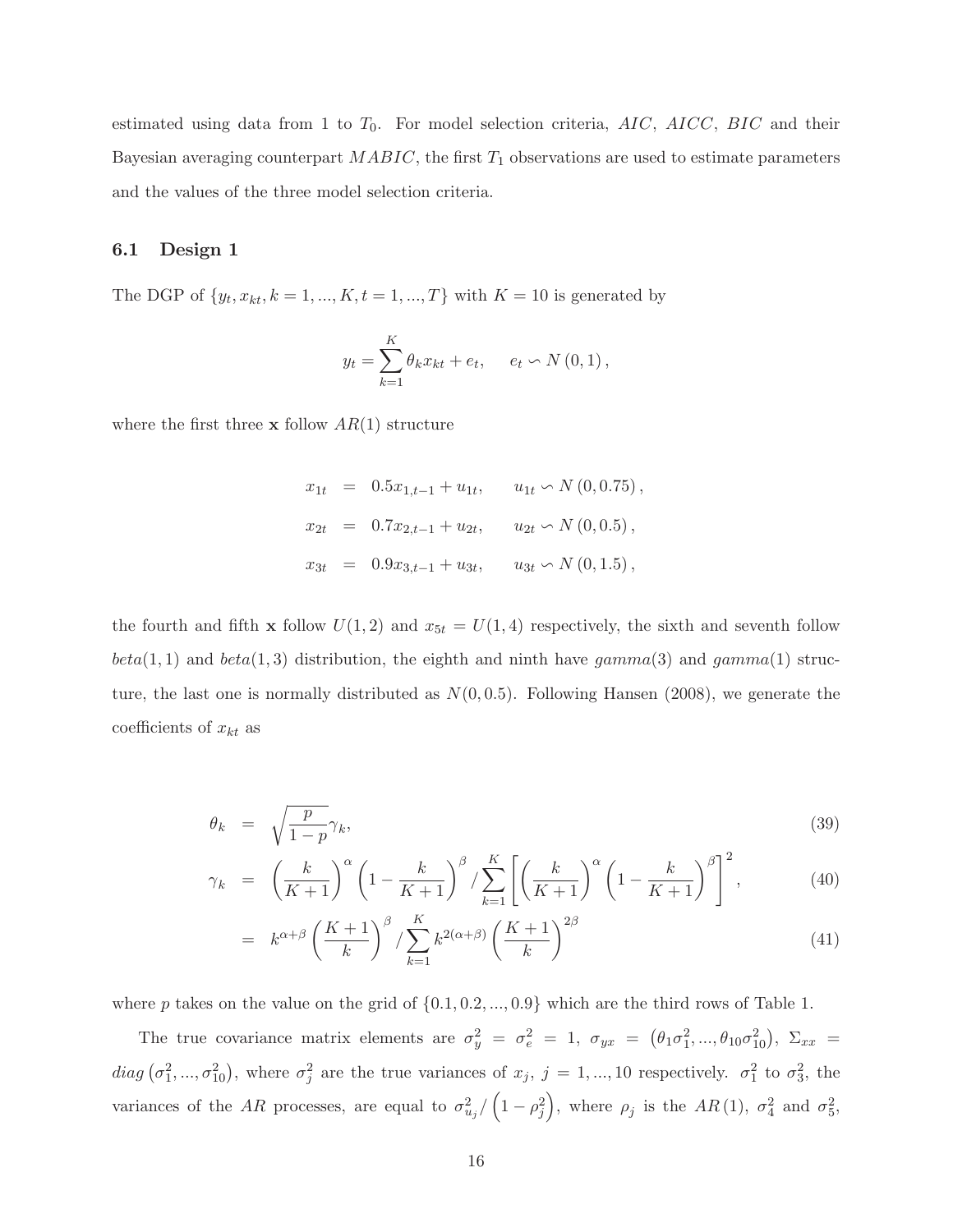estimated using data from 1 to  $T_0$ . For model selection criteria,  $AIC$ ,  $AICC$ ,  $BIC$  and their Bayesian averaging counterpart  $MABIC$ , the first  $T_1$  observations are used to estimate parameters and the values of the three model selection criteria.

#### 6.1 Design 1

The DGP of  $\{y_t, x_{kt}, k = 1, ..., K, t = 1, ..., T\}$  with  $K = 10$  is generated by

$$
y_t = \sum_{k=1}^{K} \theta_k x_{kt} + e_t, \quad e_t \sim N(0, 1),
$$

where the first three **x** follow  $AR(1)$  structure

 $x_{1t} = 0.5x_{1,t-1} + u_{1t}, \quad u_{1t} \sim N(0, 0.75),$  $x_{2t} = 0.7x_{2,t-1} + u_{2t}, \quad u_{2t} \backsim N(0,0.5)$ ,  $x_{3t} = 0.9x_{3,t-1} + u_{3t}, \quad u_{3t} \sim N(0, 1.5)$ ,

the fourth and fifth **x** follow  $U(1,2)$  and  $x_{5t} = U(1,4)$  respectively, the sixth and seventh follow  $beta(1,1)$  and  $beta(1,3)$  distribution, the eighth and ninth have  $gamma(3)$  and  $gamma(1)$  structure, the last one is normally distributed as  $N(0, 0.5)$ . Following Hansen (2008), we generate the coefficients of  $x_{kt}$  as

$$
\theta_k = \sqrt{\frac{p}{1-p}} \gamma_k,\tag{39}
$$

$$
\gamma_k = \left(\frac{k}{K+1}\right)^{\alpha} \left(1 - \frac{k}{K+1}\right)^{\beta} / \sum_{k=1}^{K} \left[ \left(\frac{k}{K+1}\right)^{\alpha} \left(1 - \frac{k}{K+1}\right)^{\beta} \right]^2, \tag{40}
$$

$$
= k^{\alpha+\beta} \left(\frac{K+1}{k}\right)^{\beta} / \sum_{k=1}^{K} k^{2(\alpha+\beta)} \left(\frac{K+1}{k}\right)^{2\beta} \tag{41}
$$

where p takes on the value on the grid of  $\{0.1, 0.2, ..., 0.9\}$  which are the third rows of Table 1.

The true covariance matrix elements are  $\sigma_y^2 = \sigma_e^2 = 1$ ,  $\sigma_{yx} = (\theta_1 \sigma_1^2, ..., \theta_{10} \sigma_{10}^2)$ ,  $\Sigma_{xx} =$  $diag(\sigma_1^2, ..., \sigma_{10}^2)$ , where  $\sigma_j^2$  are the true variances of  $x_j$ ,  $j = 1, ..., 10$  respectively.  $\sigma_1^2$  to  $\sigma_3^2$ , the variances of the AR processes, are equal to  $\sigma_{u_j}^2 / (1 - \rho_j^2)$ ), where  $\rho_j$  is the  $AR(1)$ ,  $\sigma_4^2$  and  $\sigma_5^2$ ,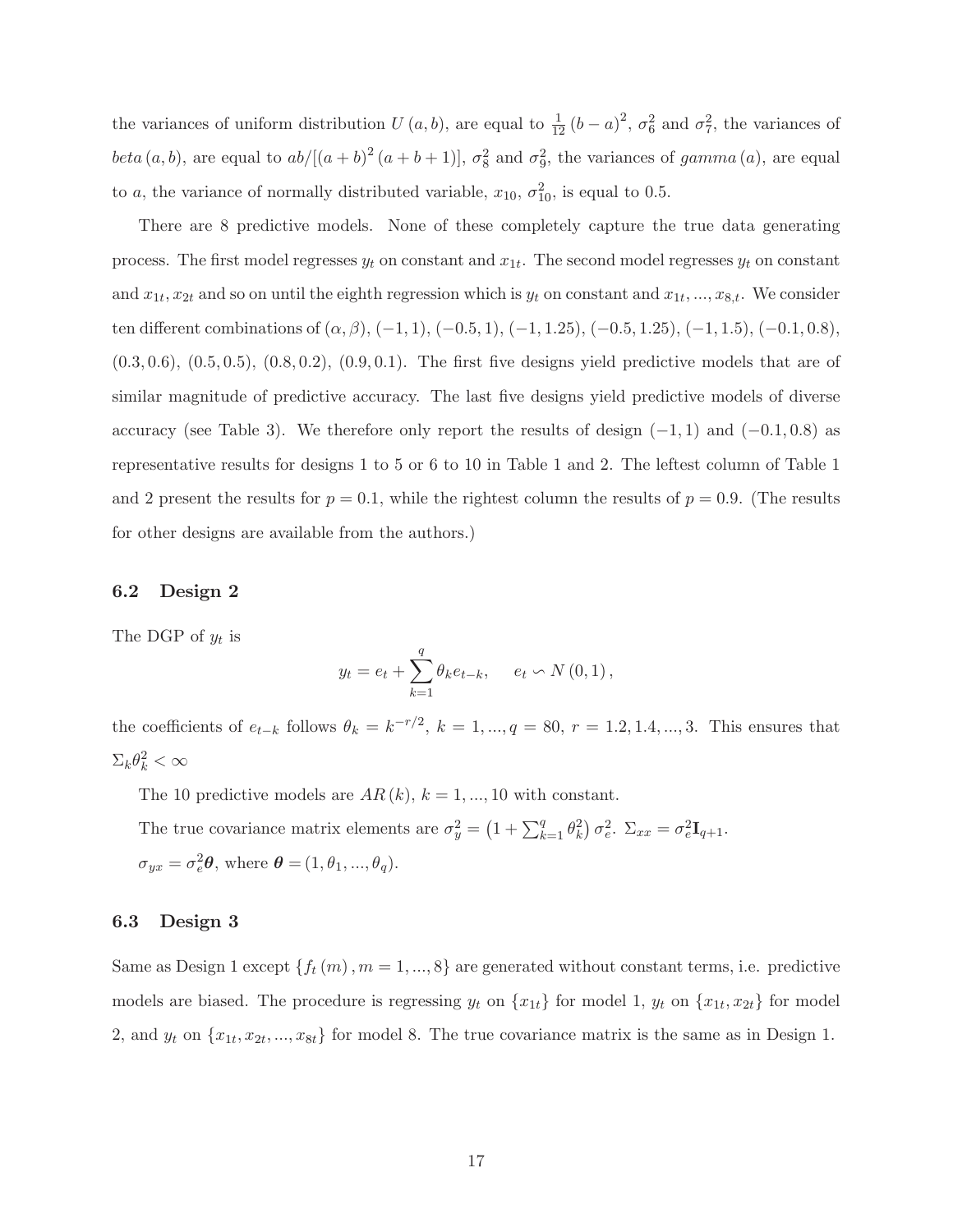the variances of uniform distribution  $U(a, b)$ , are equal to  $\frac{1}{12}(b-a)^2$ ,  $\sigma_6^2$  and  $\sigma_7^2$ , the variances of beta  $(a, b)$ , are equal to  $ab/[(a + b)^2 (a + b + 1)], \sigma_8^2$  and  $\sigma_9^2$ , the variances of gamma  $(a)$ , are equal to a, the variance of normally distributed variable,  $x_{10}$ ,  $\sigma_{10}^2$ , is equal to 0.5.

There are 8 predictive models. None of these completely capture the true data generating process. The first model regresses  $y_t$  on constant and  $x_{1t}$ . The second model regresses  $y_t$  on constant and  $x_{1t}, x_{2t}$  and so on until the eighth regression which is  $y_t$  on constant and  $x_{1t}, ..., x_{8,t}$ . We consider ten different combinations of  $(\alpha, \beta)$ ,  $(-1, 1)$ ,  $(-0.5, 1)$ ,  $(-1, 1.25)$ ,  $(-0.5, 1.25)$ ,  $(-1, 1.5)$ ,  $(-0.1, 0.8)$ ,  $(0.3, 0.6), (0.5, 0.5), (0.8, 0.2), (0.9, 0.1).$  The first five designs yield predictive models that are of similar magnitude of predictive accuracy. The last five designs yield predictive models of diverse accuracy (see Table 3). We therefore only report the results of design  $(-1, 1)$  and  $(-0.1, 0.8)$  as representative results for designs 1 to 5 or 6 to 10 in Table 1 and 2. The leftest column of Table 1 and 2 present the results for  $p = 0.1$ , while the rightest column the results of  $p = 0.9$ . (The results for other designs are available from the authors.)

#### 6.2 Design 2

The DGP of  $y_t$  is

$$
y_t = e_t + \sum_{k=1}^q \theta_k e_{t-k}, \quad e_t \backsim N(0,1),
$$

the coefficients of  $e_{t-k}$  follows  $\theta_k = k^{-r/2}$ ,  $k = 1, ..., q = 80$ ,  $r = 1.2, 1.4, ..., 3$ . This ensures that  $\Sigma_k \theta_k^2 < \infty$ 

The 10 predictive models are  $AR(k)$ ,  $k = 1, ..., 10$  with constant.

The true covariance matrix elements are  $\sigma_y^2 = \left(1 + \sum_{k=1}^q \theta_k^2\right) \sigma_e^2$ .  $\Sigma_{xx} = \sigma_e^2 \mathbf{I}_{q+1}$ .  $\sigma_{yx} = \sigma_e^2 \theta$ , where  $\theta = (1, \theta_1, ..., \theta_q)$ .

#### 6.3 Design 3

Same as Design 1 except  $\{f_t(m), m = 1, ..., 8\}$  are generated without constant terms, i.e. predictive models are biased. The procedure is regressing  $y_t$  on  $\{x_{1t}\}\$  for model 1,  $y_t$  on  $\{x_{1t}, x_{2t}\}\$  for model 2, and  $y_t$  on  $\{x_{1t}, x_{2t}, ..., x_{8t}\}$  for model 8. The true covariance matrix is the same as in Design 1.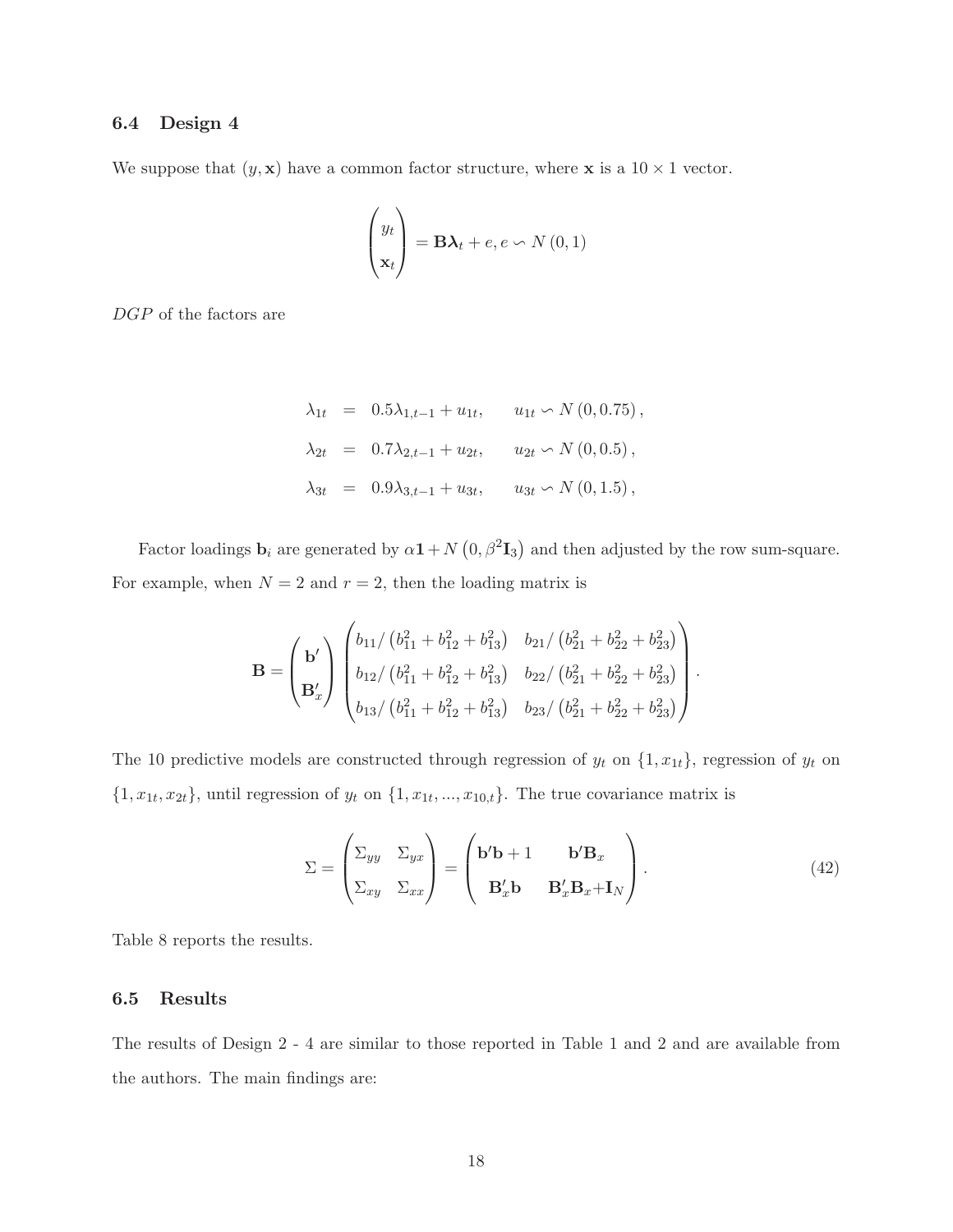## 6.4 Design 4

We suppose that  $(y, \mathbf{x})$  have a common factor structure, where **x** is a  $10 \times 1$  vector.

$$
\begin{pmatrix} y_t \\ \mathbf{x}_t \end{pmatrix} = \mathbf{B}\boldsymbol{\lambda}_t + e, e \backsim N(0, 1)
$$

DGP of the factors are

$$
\lambda_{1t} = 0.5\lambda_{1,t-1} + u_{1t}, \quad u_{1t} \sim N(0, 0.75),
$$
  
\n
$$
\lambda_{2t} = 0.7\lambda_{2,t-1} + u_{2t}, \quad u_{2t} \sim N(0, 0.5),
$$
  
\n
$$
\lambda_{3t} = 0.9\lambda_{3,t-1} + u_{3t}, \quad u_{3t} \sim N(0, 1.5),
$$

Factor loadings  $\mathbf{b}_i$  are generated by  $\alpha \mathbf{1} + N(0, \beta^2 \mathbf{I}_3)$  and then adjusted by the row sum-square. For example, when  $N = 2$  and  $r = 2$ , then the loading matrix is

$$
\mathbf{B} = \begin{pmatrix} \mathbf{b}' \\ \mathbf{B}'_x \end{pmatrix} \begin{pmatrix} b_{11}/\left(b_{11}^2 + b_{12}^2 + b_{13}^2\right) & b_{21}/\left(b_{21}^2 + b_{22}^2 + b_{23}^2\right) \\ b_{12}/\left(b_{11}^2 + b_{12}^2 + b_{13}^2\right) & b_{22}/\left(b_{21}^2 + b_{22}^2 + b_{23}^2\right) \\ b_{13}/\left(b_{11}^2 + b_{12}^2 + b_{13}^2\right) & b_{23}/\left(b_{21}^2 + b_{22}^2 + b_{23}^2\right) \end{pmatrix}.
$$

The 10 predictive models are constructed through regression of  $y_t$  on  $\{1, x_{1t}\}$ , regression of  $y_t$  on  $\{1, x_{1t}, x_{2t}\},$  until regression of  $y_t$  on  $\{1, x_{1t}, ..., x_{10,t}\}.$  The true covariance matrix is

$$
\Sigma = \begin{pmatrix} \Sigma_{yy} & \Sigma_{yx} \\ \Sigma_{xy} & \Sigma_{xx} \end{pmatrix} = \begin{pmatrix} \mathbf{b}'\mathbf{b} + 1 & \mathbf{b}'\mathbf{B}_x \\ \mathbf{B}_x'\mathbf{b} & \mathbf{B}_x'\mathbf{B}_x + \mathbf{I}_N \end{pmatrix}.
$$
 (42)

Table 8 reports the results.

#### 6.5 Results

The results of Design 2 - 4 are similar to those reported in Table 1 and 2 and are available from the authors. The main findings are: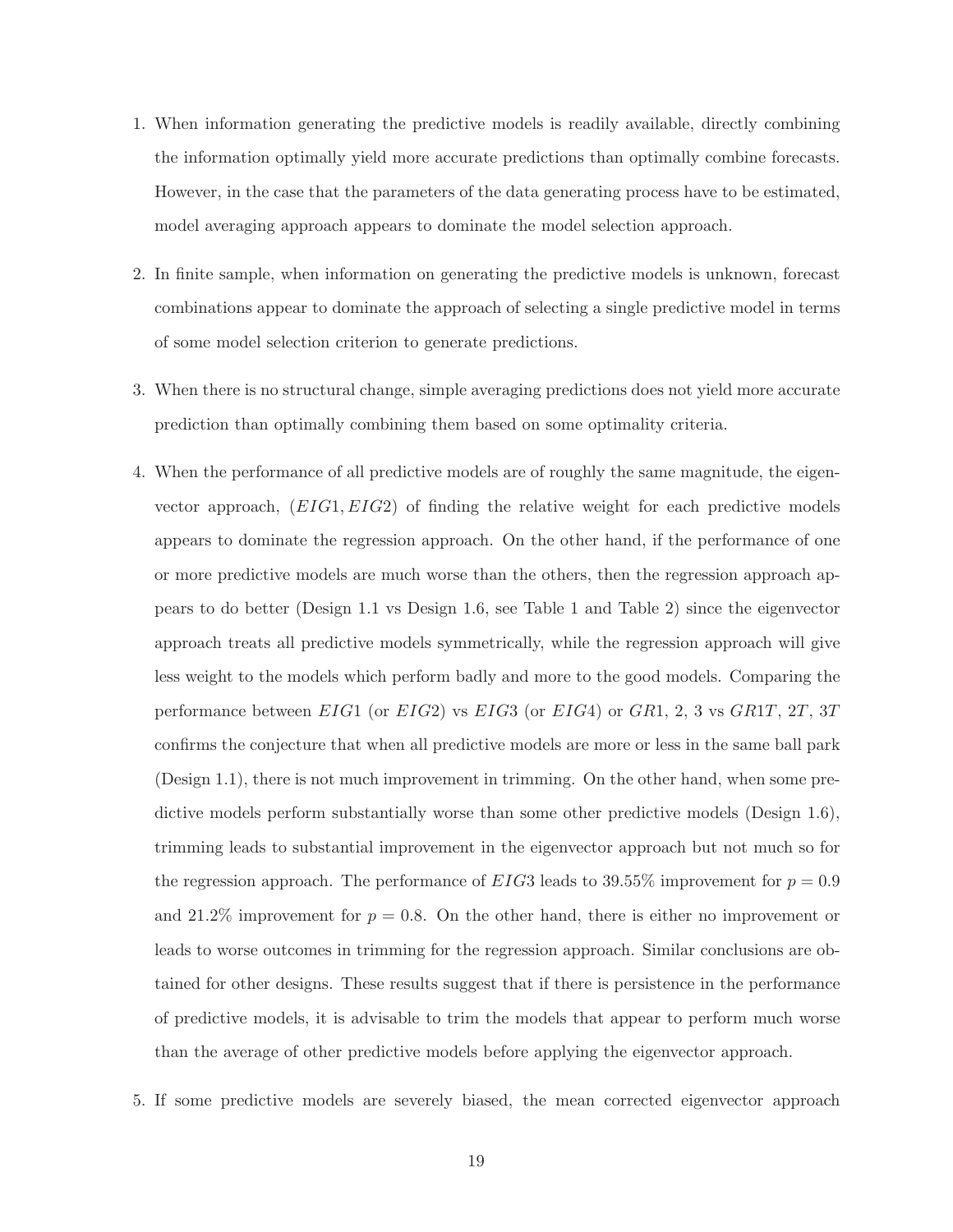- 1. When information generating the predictive models is readily available, directly combining the information optimally yield more accurate predictions than optimally combine forecasts. However, in the case that the parameters of the data generating process have to be estimated, model averaging approach appears to dominate the model selection approach.
- 2. In finite sample, when information on generating the predictive models is unknown, forecast combinations appear to dominate the approach of selecting a single predictive model in terms of some model selection criterion to generate predictions.
- 3. When there is no structural change, simple averaging predictions does not yield more accurate prediction than optimally combining them based on some optimality criteria.
- 4. When the performance of all predictive models are of roughly the same magnitude, the eigenvector approach,  $(EIG1, EIG2)$  of finding the relative weight for each predictive models appears to dominate the regression approach. On the other hand, if the performance of one or more predictive models are much worse than the others, then the regression approach appears to do better (Design 1:1 vs Design 1:6, see Table 1 and Table 2) since the eigenvector approach treats all predictive models symmetrically, while the regression approach will give less weight to the models which perform badly and more to the good models. Comparing the performance between  $EIG1$  (or  $EIG2$ ) vs  $EIG3$  (or  $EIG4$ ) or  $GR1, 2, 3$  vs  $GR1T, 2T, 3T$ confirms the conjecture that when all predictive models are more or less in the same ball park (Design 1.1), there is not much improvement in trimming. On the other hand, when some predictive models perform substantially worse than some other predictive models (Design 1.6), trimming leads to substantial improvement in the eigenvector approach but not much so for the regression approach. The performance of  $EIG3$  leads to 39.55% improvement for  $p = 0.9$ and 21.2% improvement for  $p = 0.8$ . On the other hand, there is either no improvement or leads to worse outcomes in trimming for the regression approach. Similar conclusions are obtained for other designs. These results suggest that if there is persistence in the performance of predictive models, it is advisable to trim the models that appear to perform much worse than the average of other predictive models before applying the eigenvector approach.
- 5. If some predictive models are severely biased, the mean corrected eigenvector approach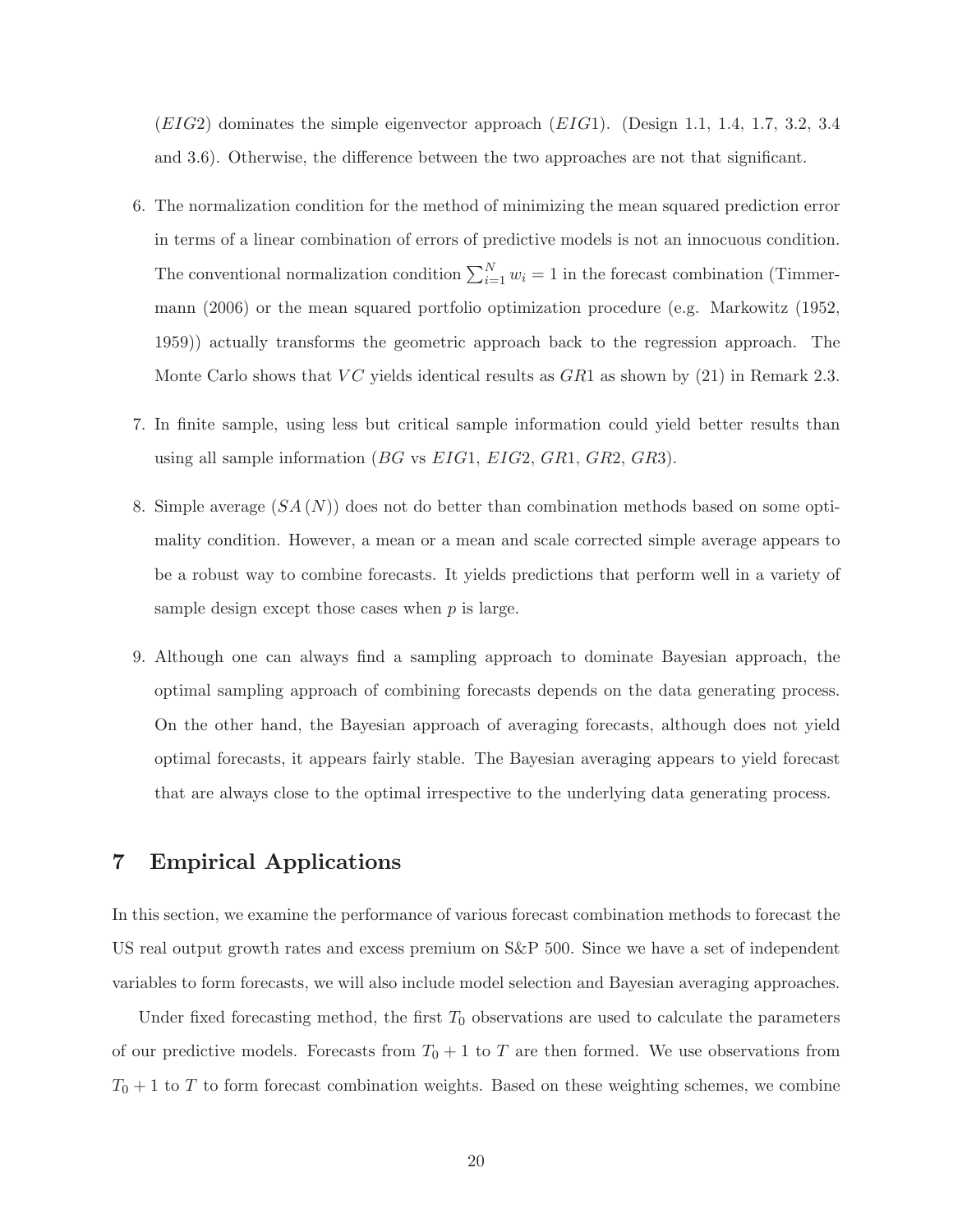$(EIG2)$  dominates the simple eigenvector approach  $(EIG1)$ . (Design 1.1, 1.4, 1.7, 3.2, 3.4) and 3.6). Otherwise, the difference between the two approaches are not that significant.

- 6. The normalization condition for the method of minimizing the mean squared prediction error in terms of a linear combination of errors of predictive models is not an innocuous condition. The conventional normalization condition  $\sum_{i=1}^{N} w_i = 1$  in the forecast combination (Timmermann (2006) or the mean squared portfolio optimization procedure (e.g. Markowitz (1952, 1959)) actually transforms the geometric approach back to the regression approach. The Monte Carlo shows that  $VC$  yields identical results as  $GR1$  as shown by (21) in Remark 2.3.
- 7. In finite sample, using less but critical sample information could yield better results than using all sample information (*BG* vs  $EIG1$ ,  $EIG2$ ,  $GR1$ ,  $GR2$ ,  $GR3$ ).
- 8. Simple average  $(SA(N))$  does not do better than combination methods based on some optimality condition. However, a mean or a mean and scale corrected simple average appears to be a robust way to combine forecasts. It yields predictions that perform well in a variety of sample design except those cases when  $p$  is large.
- 9. Although one can always find a sampling approach to dominate Bayesian approach, the optimal sampling approach of combining forecasts depends on the data generating process. On the other hand, the Bayesian approach of averaging forecasts, although does not yield optimal forecasts, it appears fairly stable. The Bayesian averaging appears to yield forecast that are always close to the optimal irrespective to the underlying data generating process.

## 7 Empirical Applications

In this section, we examine the performance of various forecast combination methods to forecast the US real output growth rates and excess premium on S&P 500. Since we have a set of independent variables to form forecasts, we will also include model selection and Bayesian averaging approaches.

Under fixed forecasting method, the first  $T_0$  observations are used to calculate the parameters of our predictive models. Forecasts from  $T_0 + 1$  to T are then formed. We use observations from  $T_0 + 1$  to T to form forecast combination weights. Based on these weighting schemes, we combine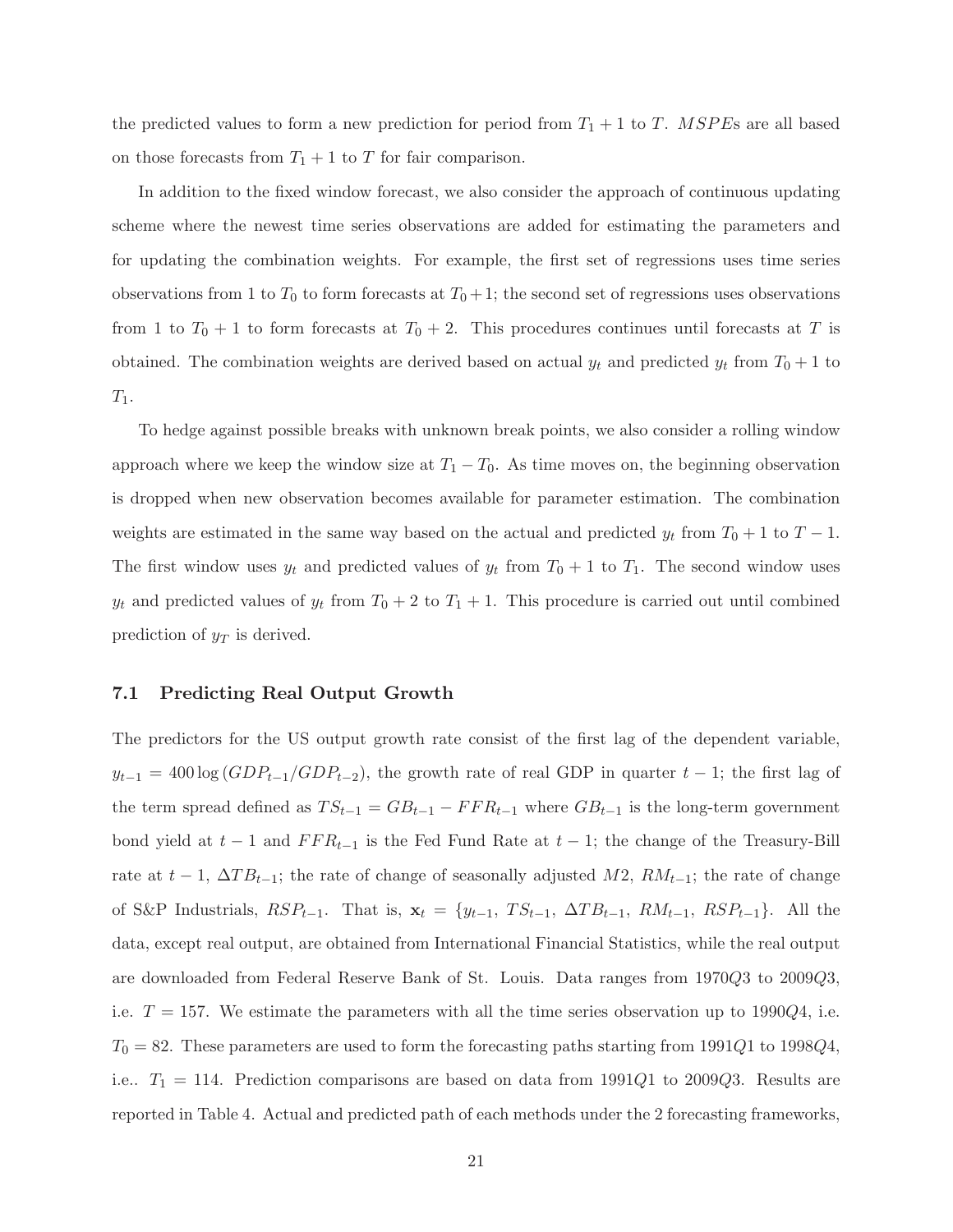the predicted values to form a new prediction for period from  $T_1 + 1$  to T. MSPEs are all based on those forecasts from  $T_1 + 1$  to T for fair comparison.

In addition to the fixed window forecast, we also consider the approach of continuous updating scheme where the newest time series observations are added for estimating the parameters and for updating the combination weights. For example, the first set of regressions uses time series observations from 1 to  $T_0$  to form forecasts at  $T_0 + 1$ ; the second set of regressions uses observations from 1 to  $T_0 + 1$  to form forecasts at  $T_0 + 2$ . This procedures continues until forecasts at T is obtained. The combination weights are derived based on actual  $y_t$  and predicted  $y_t$  from  $T_0 + 1$  to  $T_1$ .

To hedge against possible breaks with unknown break points, we also consider a rolling window approach where we keep the window size at  $T_1 - T_0$ . As time moves on, the beginning observation is dropped when new observation becomes available for parameter estimation. The combination weights are estimated in the same way based on the actual and predicted  $y_t$  from  $T_0 + 1$  to  $T - 1$ . The first window uses  $y_t$  and predicted values of  $y_t$  from  $T_0 + 1$  to  $T_1$ . The second window uses  $y_t$  and predicted values of  $y_t$  from  $T_0 + 2$  to  $T_1 + 1$ . This procedure is carried out until combined prediction of  $y_T$  is derived.

#### 7.1 Predicting Real Output Growth

The predictors for the US output growth rate consist of the first lag of the dependent variable,  $y_{t-1} = 400 \log (GDP_{t-1}/GDP_{t-2})$ , the growth rate of real GDP in quarter  $t - 1$ ; the first lag of the term spread defined as  $TS_{t-1} = GB_{t-1} - FFR_{t-1}$  where  $GB_{t-1}$  is the long-term government bond yield at  $t-1$  and  $FFR_{t-1}$  is the Fed Fund Rate at  $t-1$ ; the change of the Treasury-Bill rate at  $t - 1$ ,  $\Delta T B_{t-1}$ ; the rate of change of seasonally adjusted M2,  $RM_{t-1}$ ; the rate of change of S&P Industrials,  $RSP_{t-1}$ . That is,  $\mathbf{x}_t = \{y_{t-1}, TS_{t-1}, \Delta TB_{t-1}, RM_{t-1}, RSP_{t-1}\}.$  All the data, except real output, are obtained from International Financial Statistics, while the real output are downloaded from Federal Reserve Bank of St. Louis. Data ranges from 1970Q3 to 2009Q3, i.e.  $T = 157$ . We estimate the parameters with all the time series observation up to 1990Q4, i.e.  $T_0 = 82$ . These parameters are used to form the forecasting paths starting from 1991Q1 to 1998Q4, i.e..  $T_1 = 114$ . Prediction comparisons are based on data from 1991Q1 to 2009Q3. Results are reported in Table 4. Actual and predicted path of each methods under the 2 forecasting frameworks,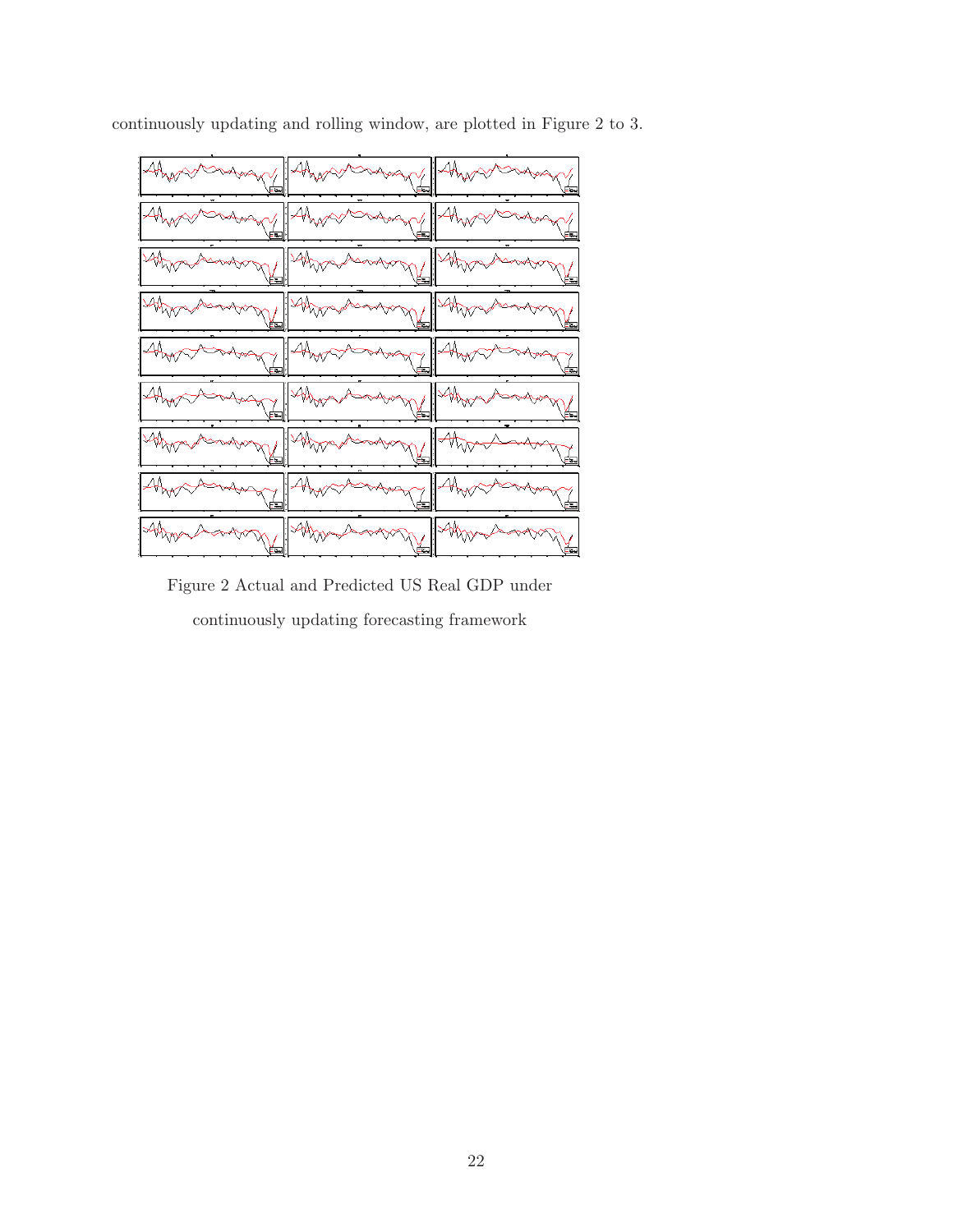

continuously updating and rolling window, are plotted in Figure 2 to 3.

Figure 2 Actual and Predicted US Real GDP under continuously updating forecasting framework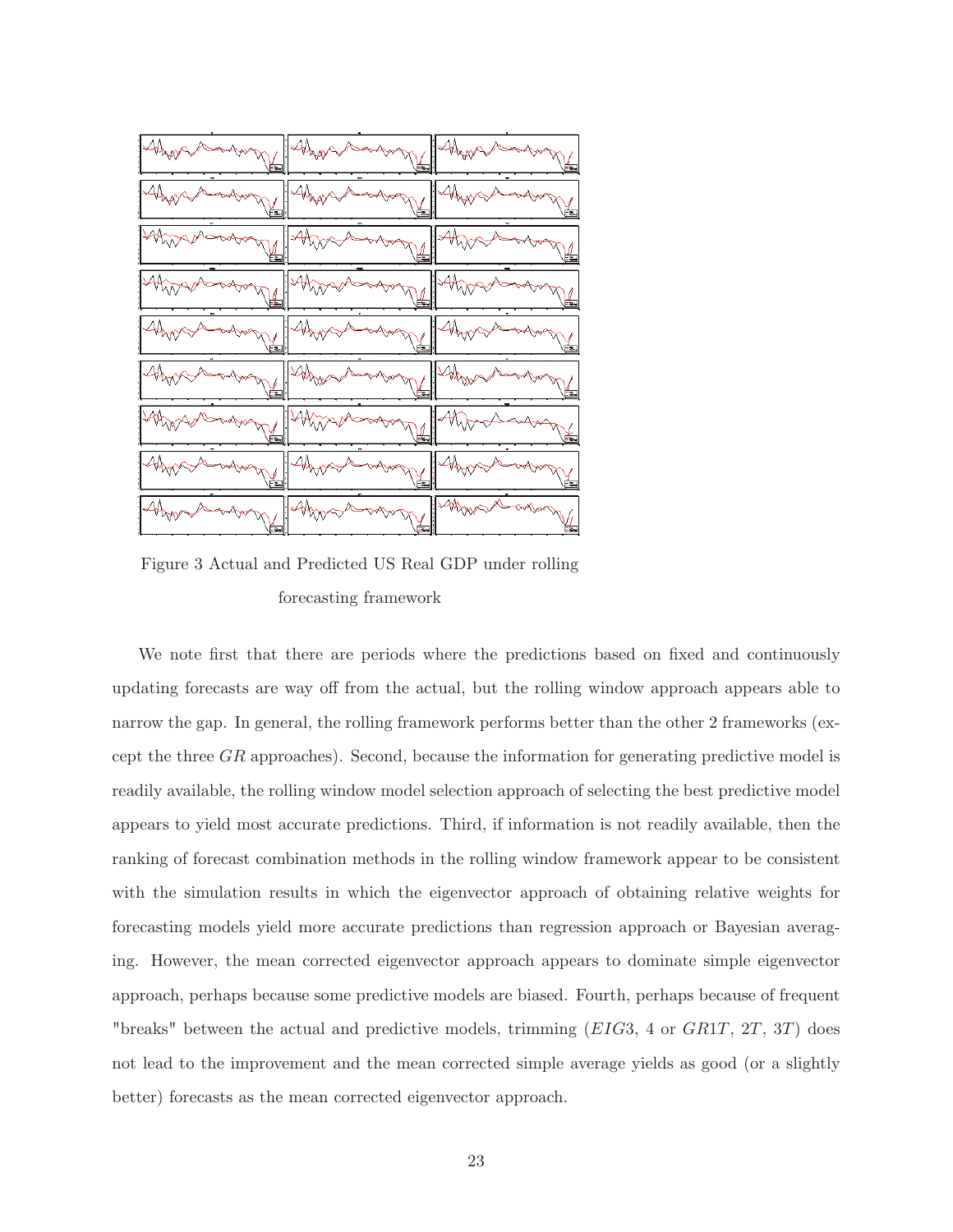

Figure 3 Actual and Predicted US Real GDP under rolling forecasting framework

We note first that there are periods where the predictions based on fixed and continuously updating forecasts are way off from the actual, but the rolling window approach appears able to narrow the gap. In general, the rolling framework performs better than the other 2 frameworks (except the three  $GR$  approaches). Second, because the information for generating predictive model is readily available, the rolling window model selection approach of selecting the best predictive model appears to yield most accurate predictions. Third, if information is not readily available, then the ranking of forecast combination methods in the rolling window framework appear to be consistent with the simulation results in which the eigenvector approach of obtaining relative weights for forecasting models yield more accurate predictions than regression approach or Bayesian averaging. However, the mean corrected eigenvector approach appears to dominate simple eigenvector approach, perhaps because some predictive models are biased. Fourth, perhaps because of frequent "breaks" between the actual and predictive models, trimming (EIG3, 4 or GR1T, 2T, 3T) does not lead to the improvement and the mean corrected simple average yields as good (or a slightly better) forecasts as the mean corrected eigenvector approach.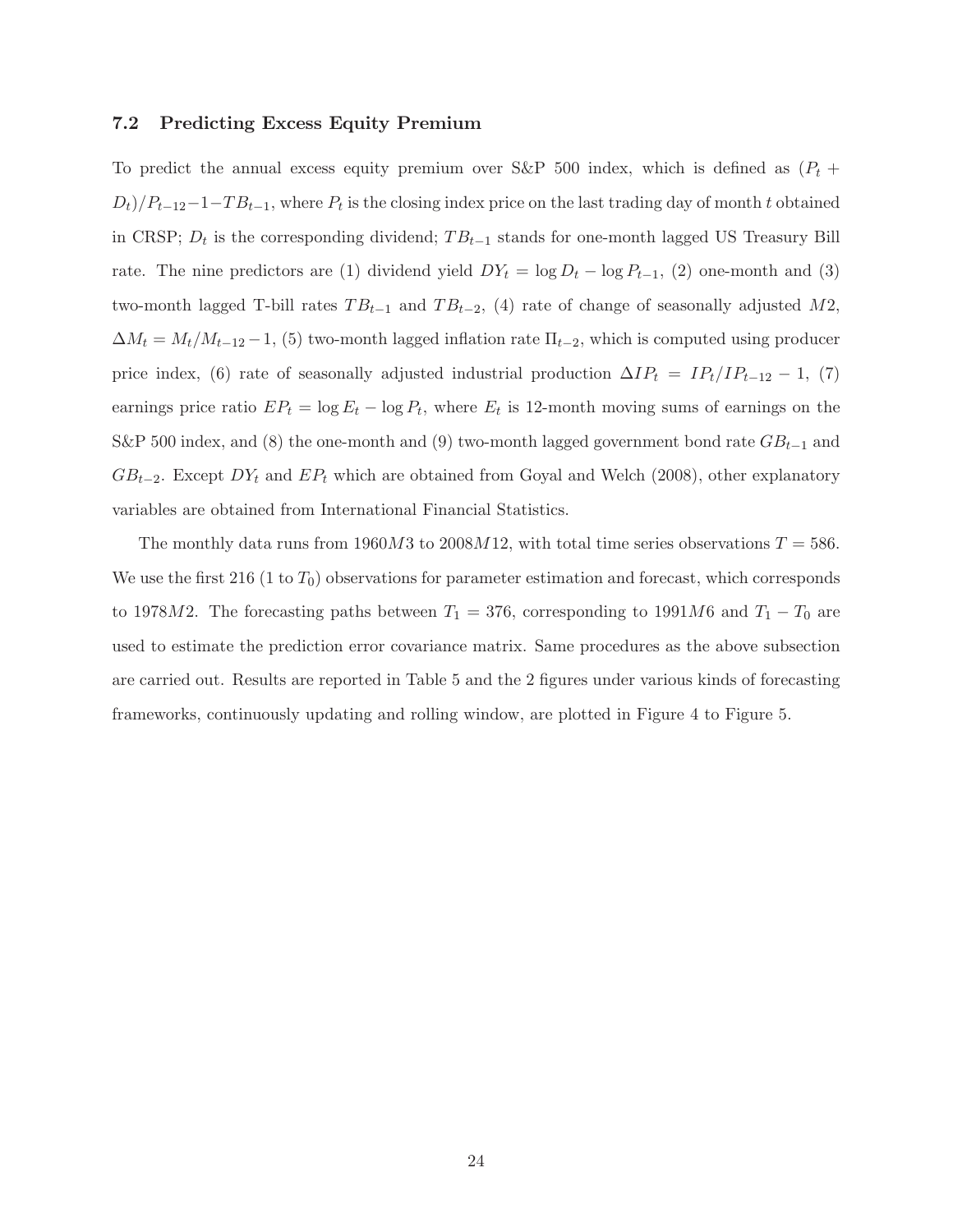#### 7.2 Predicting Excess Equity Premium

To predict the annual excess equity premium over S&P 500 index, which is defined as  $(P_t + P_t)$  $(D_t)/P_{t-12}-1-T B_{t-1}$ , where  $P_t$  is the closing index price on the last trading day of month t obtained in CRSP;  $D_t$  is the corresponding dividend;  $TB_{t-1}$  stands for one-month lagged US Treasury Bill rate. The nine predictors are (1) dividend yield  $DY_t = \log D_t - \log P_{t-1}$ , (2) one-month and (3) two-month lagged T-bill rates  $TB_{t-1}$  and  $TB_{t-2}$ , (4) rate of change of seasonally adjusted M2,  $\Delta M_t = M_t/M_{t-12} - 1$ , (5) two-month lagged inflation rate  $\Pi_{t-2}$ , which is computed using producer price index, (6) rate of seasonally adjusted industrial production  $\Delta IP_t = IP_t/IP_{t-12} - 1$ , (7) earnings price ratio  $EP_t = \log E_t - \log P_t$ , where  $E_t$  is 12-month moving sums of earnings on the S&P 500 index, and (8) the one-month and (9) two-month lagged government bond rate  $GB_{t-1}$  and  $GB_{t-2}$ . Except  $DY_t$  and  $EP_t$  which are obtained from Goyal and Welch (2008), other explanatory variables are obtained from International Financial Statistics.

The monthly data runs from 1960M3 to 2008M12, with total time series observations  $T = 586$ . We use the first 216 (1 to  $T_0$ ) observations for parameter estimation and forecast, which corresponds to 1978M2. The forecasting paths between  $T_1 = 376$ , corresponding to 1991M6 and  $T_1 - T_0$  are used to estimate the prediction error covariance matrix. Same procedures as the above subsection are carried out. Results are reported in Table 5 and the 2 figures under various kinds of forecasting frameworks, continuously updating and rolling window, are plotted in Figure 4 to Figure 5.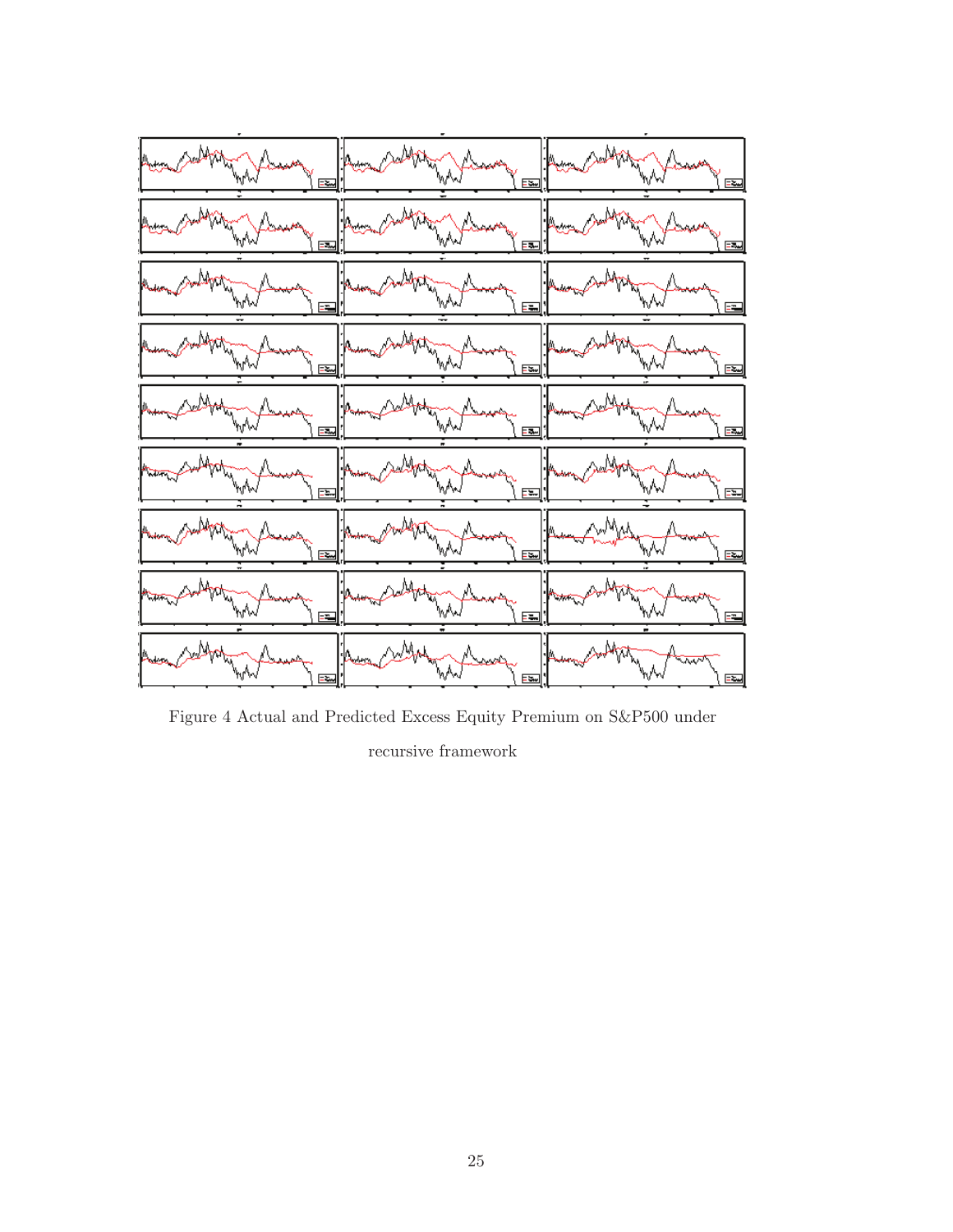

Figure 4 Actual and Predicted Excess Equity Premium on S&P500 under recursive framework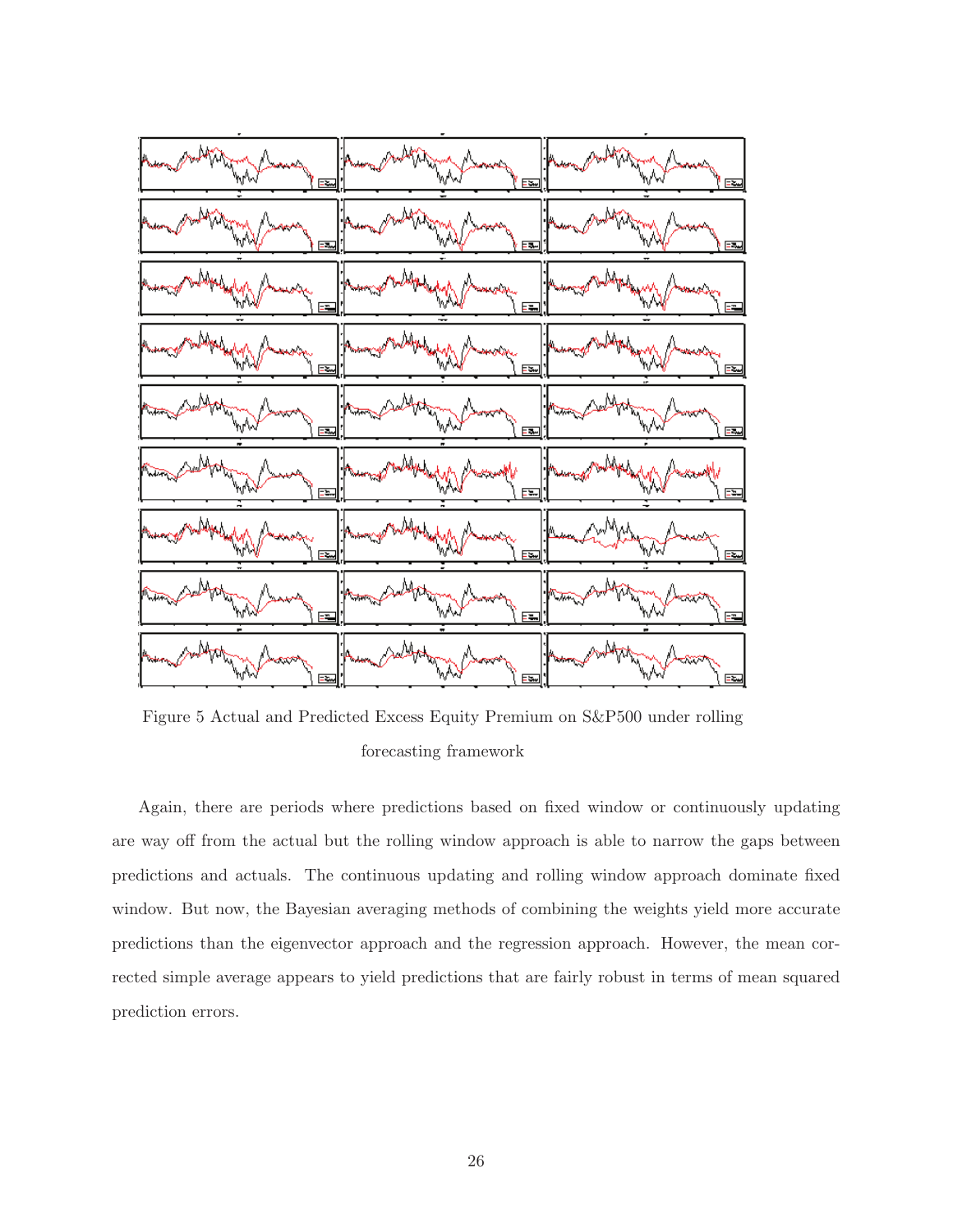

Figure 5 Actual and Predicted Excess Equity Premium on S&P500 under rolling forecasting framework

Again, there are periods where predictions based on fixed window or continuously updating are way off from the actual but the rolling window approach is able to narrow the gaps between predictions and actuals. The continuous updating and rolling window approach dominate fixed window. But now, the Bayesian averaging methods of combining the weights yield more accurate predictions than the eigenvector approach and the regression approach. However, the mean corrected simple average appears to yield predictions that are fairly robust in terms of mean squared prediction errors.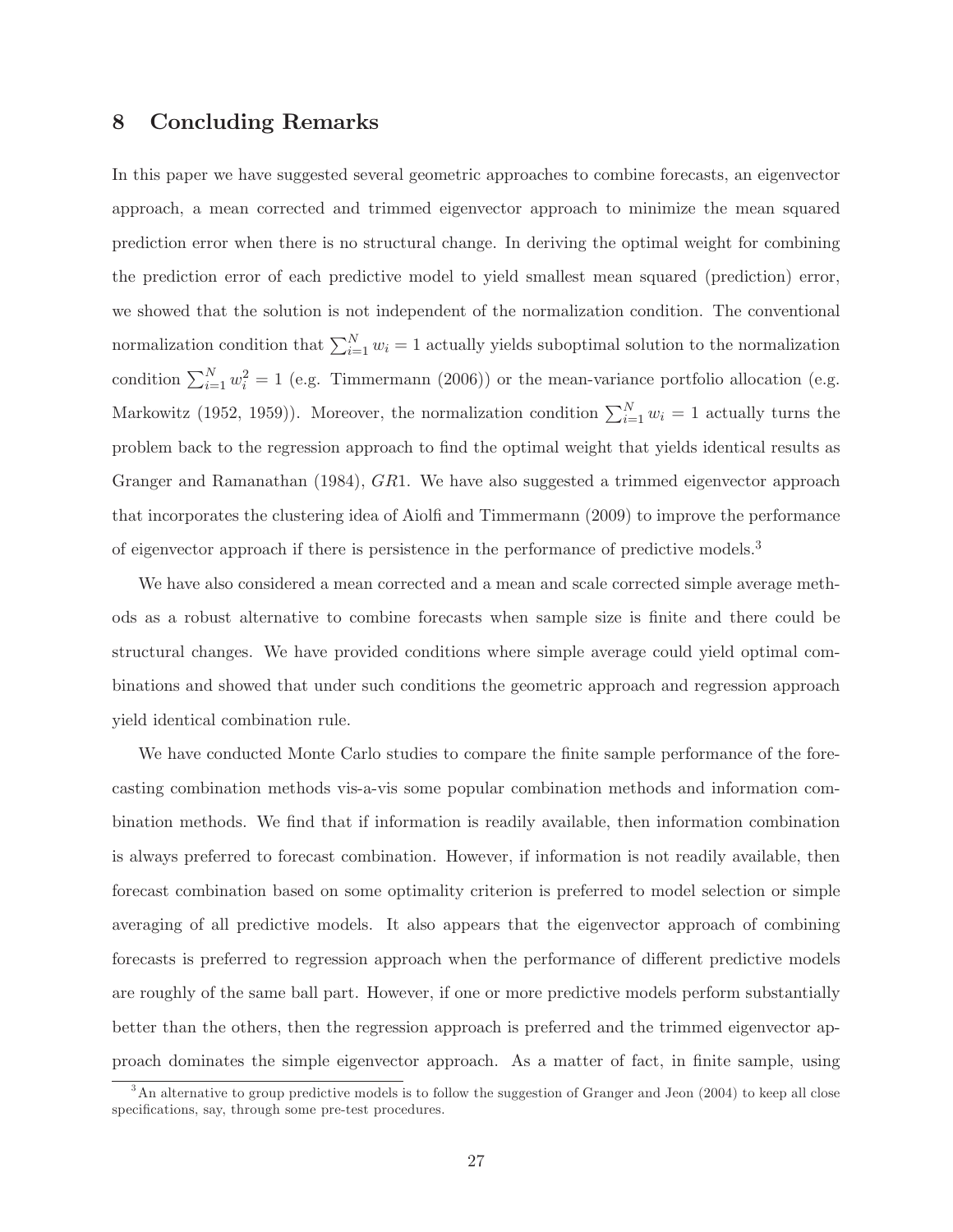## 8 Concluding Remarks

In this paper we have suggested several geometric approaches to combine forecasts, an eigenvector approach, a mean corrected and trimmed eigenvector approach to minimize the mean squared prediction error when there is no structural change. In deriving the optimal weight for combining the prediction error of each predictive model to yield smallest mean squared (prediction) error, we showed that the solution is not independent of the normalization condition. The conventional normalization condition that  $\sum_{i=1}^{N} w_i = 1$  actually yields suboptimal solution to the normalization condition  $\sum_{i=1}^{N} w_i^2 = 1$  (e.g. Timmermann (2006)) or the mean-variance portfolio allocation (e.g. Markowitz (1952, 1959)). Moreover, the normalization condition  $\sum_{i=1}^{N} w_i = 1$  actually turns the problem back to the regression approach to find the optimal weight that yields identical results as Granger and Ramanathan (1984), GR1. We have also suggested a trimmed eigenvector approach that incorporates the clustering idea of Aiolfi and Timmermann (2009) to improve the performance of eigenvector approach if there is persistence in the performance of predictive models.<sup>3</sup>

We have also considered a mean corrected and a mean and scale corrected simple average methods as a robust alternative to combine forecasts when sample size is finite and there could be structural changes. We have provided conditions where simple average could yield optimal combinations and showed that under such conditions the geometric approach and regression approach yield identical combination rule.

We have conducted Monte Carlo studies to compare the finite sample performance of the forecasting combination methods vis-a-vis some popular combination methods and information combination methods. We find that if information is readily available, then information combination is always preferred to forecast combination. However, if information is not readily available, then forecast combination based on some optimality criterion is preferred to model selection or simple averaging of all predictive models. It also appears that the eigenvector approach of combining forecasts is preferred to regression approach when the performance of different predictive models are roughly of the same ball part. However, if one or more predictive models perform substantially better than the others, then the regression approach is preferred and the trimmed eigenvector approach dominates the simple eigenvector approach. As a matter of fact, in nite sample, using

<sup>&</sup>lt;sup>3</sup>An alternative to group predictive models is to follow the suggestion of Granger and Jeon (2004) to keep all close specifications, say, through some pre-test procedures.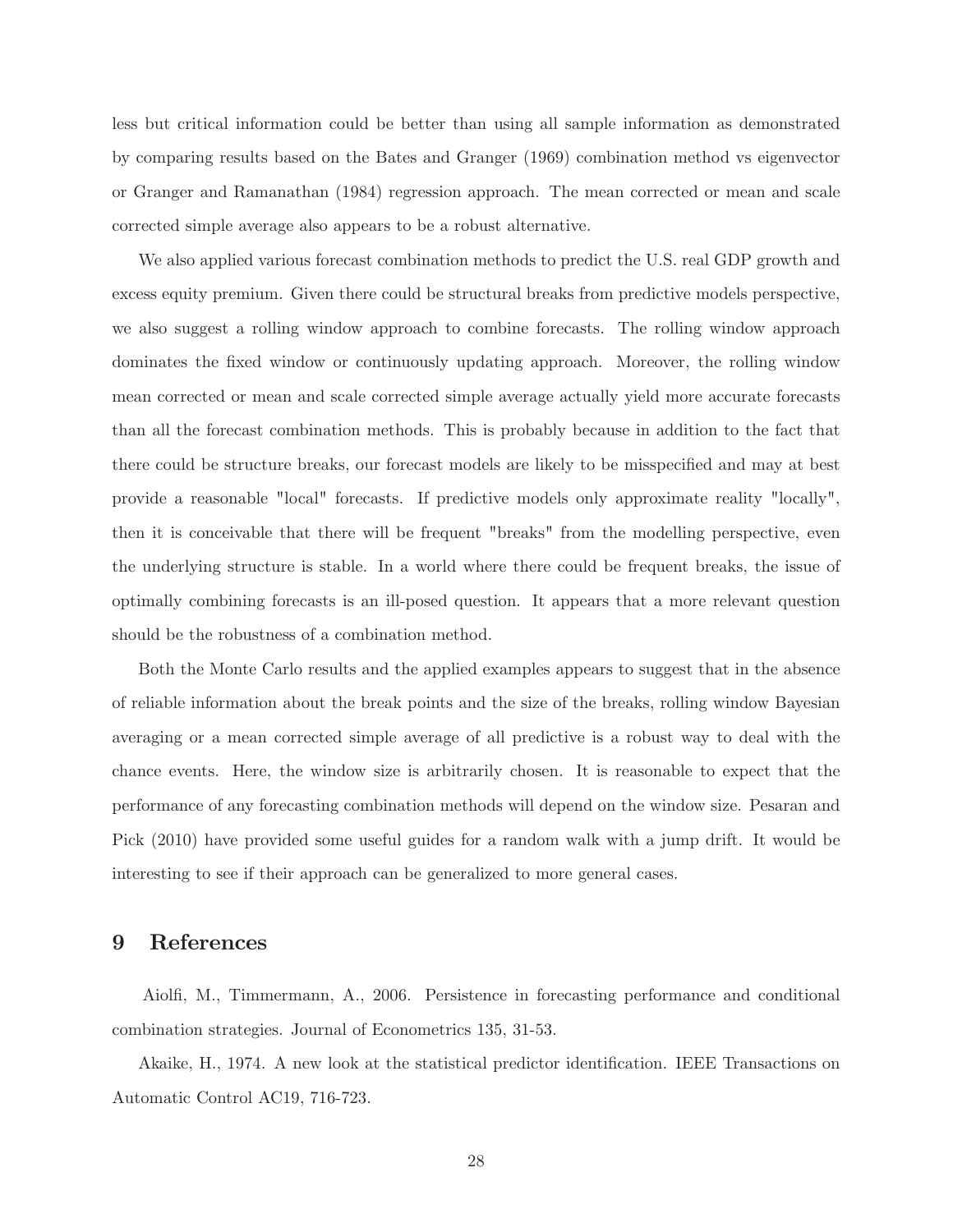less but critical information could be better than using all sample information as demonstrated by comparing results based on the Bates and Granger (1969) combination method vs eigenvector or Granger and Ramanathan (1984) regression approach. The mean corrected or mean and scale corrected simple average also appears to be a robust alternative.

We also applied various forecast combination methods to predict the U.S. real GDP growth and excess equity premium. Given there could be structural breaks from predictive models perspective, we also suggest a rolling window approach to combine forecasts. The rolling window approach dominates the fixed window or continuously updating approach. Moreover, the rolling window mean corrected or mean and scale corrected simple average actually yield more accurate forecasts than all the forecast combination methods. This is probably because in addition to the fact that there could be structure breaks, our forecast models are likely to be misspecified and may at best provide a reasonable "local" forecasts. If predictive models only approximate reality "locally", then it is conceivable that there will be frequent "breaks" from the modelling perspective, even the underlying structure is stable. In a world where there could be frequent breaks, the issue of optimally combining forecasts is an ill-posed question. It appears that a more relevant question should be the robustness of a combination method.

Both the Monte Carlo results and the applied examples appears to suggest that in the absence of reliable information about the break points and the size of the breaks, rolling window Bayesian averaging or a mean corrected simple average of all predictive is a robust way to deal with the chance events. Here, the window size is arbitrarily chosen. It is reasonable to expect that the performance of any forecasting combination methods will depend on the window size. Pesaran and Pick (2010) have provided some useful guides for a random walk with a jump drift. It would be interesting to see if their approach can be generalized to more general cases.

## 9 References

Aiol, M., Timmermann, A., 2006. Persistence in forecasting performance and conditional combination strategies. Journal of Econometrics 135, 31-53.

Akaike, H., 1974. A new look at the statistical predictor identification. IEEE Transactions on Automatic Control AC19, 716-723.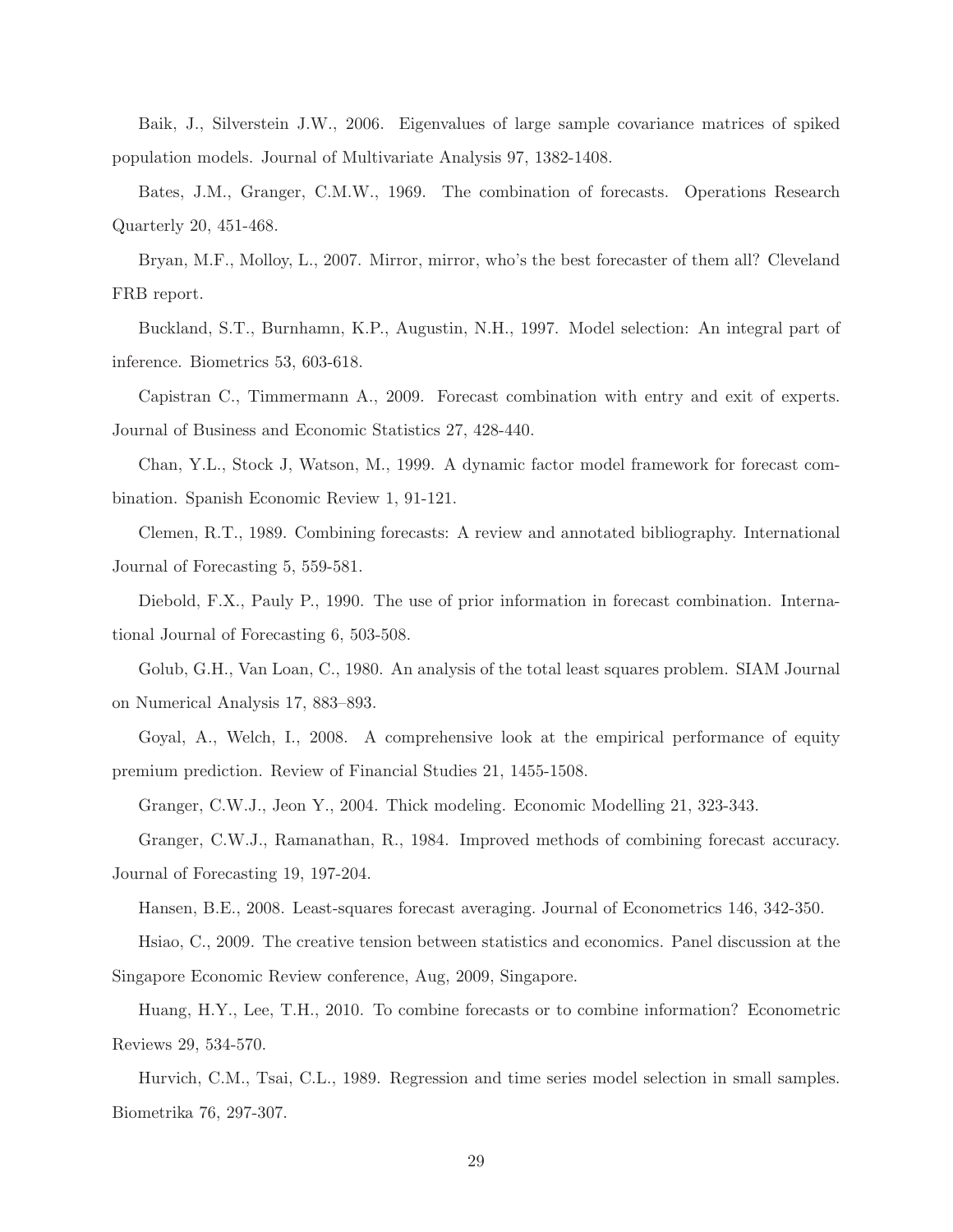Baik, J., Silverstein J.W., 2006. Eigenvalues of large sample covariance matrices of spiked population models. Journal of Multivariate Analysis 97, 1382-1408.

Bates, J.M., Granger, C.M.W., 1969. The combination of forecasts. Operations Research Quarterly 20, 451-468.

Bryan, M.F., Molloy, L., 2007. Mirror, mirror, who's the best forecaster of them all? Cleveland FRB report.

Buckland, S.T., Burnhamn, K.P., Augustin, N.H., 1997. Model selection: An integral part of inference. Biometrics 53, 603-618.

Capistran C., Timmermann A., 2009. Forecast combination with entry and exit of experts. Journal of Business and Economic Statistics 27, 428-440.

Chan, Y.L., Stock J, Watson, M., 1999. A dynamic factor model framework for forecast combination. Spanish Economic Review 1, 91-121.

Clemen, R.T., 1989. Combining forecasts: A review and annotated bibliography. International Journal of Forecasting 5, 559-581.

Diebold, F.X., Pauly P., 1990. The use of prior information in forecast combination. International Journal of Forecasting 6, 503-508.

Golub, G.H., Van Loan, C., 1980. An analysis of the total least squares problem. SIAM Journal on Numerical Analysis 17, 883–893.

Goyal, A., Welch, I., 2008. A comprehensive look at the empirical performance of equity premium prediction. Review of Financial Studies 21, 1455-1508.

Granger, C.W.J., Jeon Y., 2004. Thick modeling. Economic Modelling 21, 323-343.

Granger, C.W.J., Ramanathan, R., 1984. Improved methods of combining forecast accuracy. Journal of Forecasting 19, 197-204.

Hansen, B.E., 2008. Least-squares forecast averaging. Journal of Econometrics 146, 342-350.

Hsiao, C., 2009. The creative tension between statistics and economics. Panel discussion at the Singapore Economic Review conference, Aug, 2009, Singapore.

Huang, H.Y., Lee, T.H., 2010. To combine forecasts or to combine information? Econometric Reviews 29, 534-570.

Hurvich, C.M., Tsai, C.L., 1989. Regression and time series model selection in small samples. Biometrika 76, 297-307.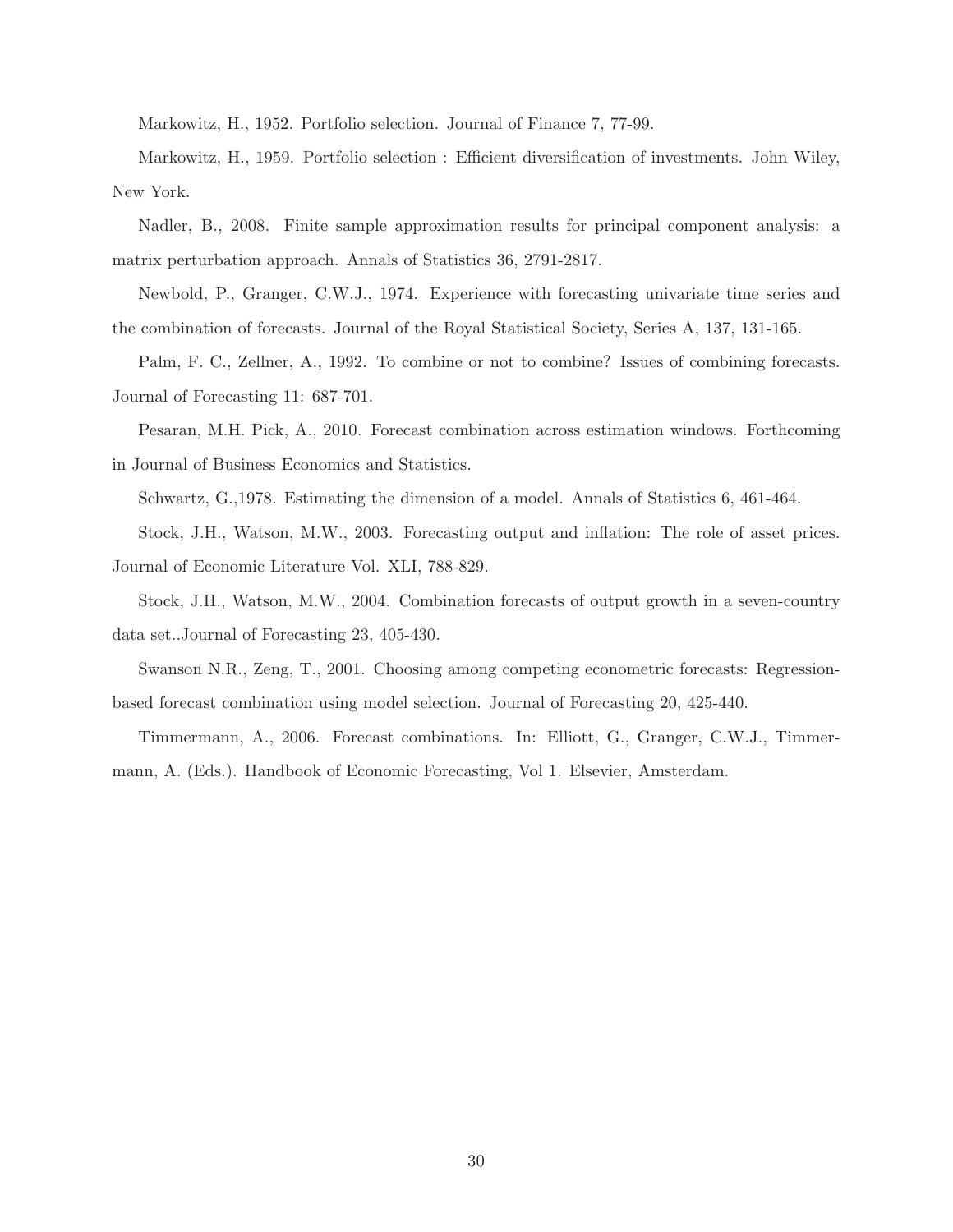Markowitz, H., 1952. Portfolio selection. Journal of Finance 7, 77-99.

Markowitz, H., 1959. Portfolio selection : Efficient diversification of investments. John Wiley, New York.

Nadler, B., 2008. Finite sample approximation results for principal component analysis: a matrix perturbation approach. Annals of Statistics 36, 2791-2817.

Newbold, P., Granger, C.W.J., 1974. Experience with forecasting univariate time series and the combination of forecasts. Journal of the Royal Statistical Society, Series A, 137, 131-165.

Palm, F. C., Zellner, A., 1992. To combine or not to combine? Issues of combining forecasts. Journal of Forecasting 11: 687-701.

Pesaran, M.H. Pick, A., 2010. Forecast combination across estimation windows. Forthcoming in Journal of Business Economics and Statistics.

Schwartz, G.,1978. Estimating the dimension of a model. Annals of Statistics 6, 461-464.

Stock, J.H., Watson, M.W., 2003. Forecasting output and inflation: The role of asset prices. Journal of Economic Literature Vol. XLI, 788-829.

Stock, J.H., Watson, M.W., 2004. Combination forecasts of output growth in a seven-country data set..Journal of Forecasting 23, 405-430.

Swanson N.R., Zeng, T., 2001. Choosing among competing econometric forecasts: Regressionbased forecast combination using model selection. Journal of Forecasting 20, 425-440.

Timmermann, A., 2006. Forecast combinations. In: Elliott, G., Granger, C.W.J., Timmermann, A. (Eds.). Handbook of Economic Forecasting, Vol 1. Elsevier, Amsterdam.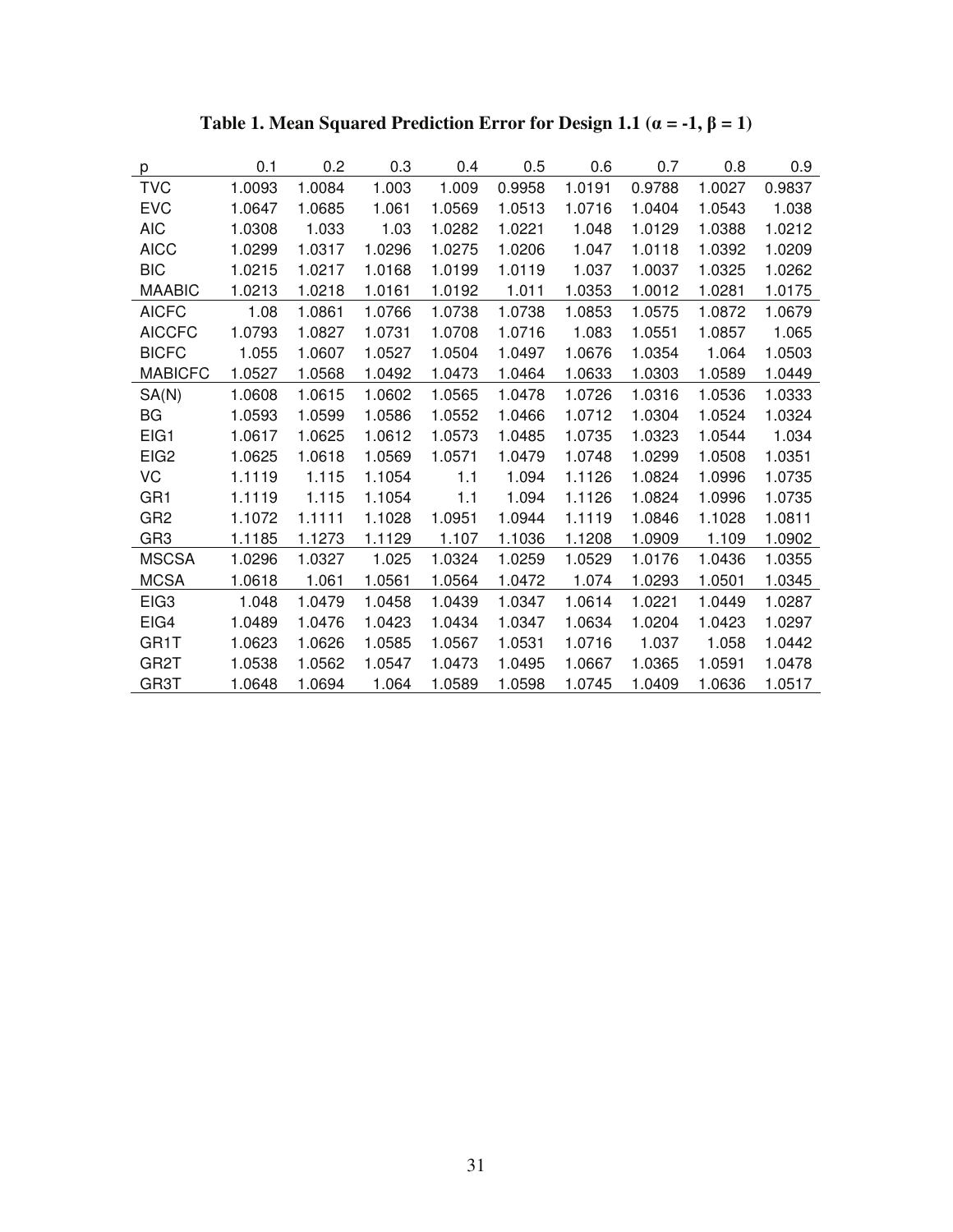| p                | 0.1    | 0.2    | 0.3    | 0.4    | 0.5    | 0.6    | 0.7    | 0.8    | 0.9    |
|------------------|--------|--------|--------|--------|--------|--------|--------|--------|--------|
| <b>TVC</b>       | 1.0093 | 1.0084 | 1.003  | 1.009  | 0.9958 | 1.0191 | 0.9788 | 1.0027 | 0.9837 |
| <b>EVC</b>       | 1.0647 | 1.0685 | 1.061  | 1.0569 | 1.0513 | 1.0716 | 1.0404 | 1.0543 | 1.038  |
| <b>AIC</b>       | 1.0308 | 1.033  | 1.03   | 1.0282 | 1.0221 | 1.048  | 1.0129 | 1.0388 | 1.0212 |
| <b>AICC</b>      | 1.0299 | 1.0317 | 1.0296 | 1.0275 | 1.0206 | 1.047  | 1.0118 | 1.0392 | 1.0209 |
| <b>BIC</b>       | 1.0215 | 1.0217 | 1.0168 | 1.0199 | 1.0119 | 1.037  | 1.0037 | 1.0325 | 1.0262 |
| <b>MAABIC</b>    | 1.0213 | 1.0218 | 1.0161 | 1.0192 | 1.011  | 1.0353 | 1.0012 | 1.0281 | 1.0175 |
| <b>AICFC</b>     | 1.08   | 1.0861 | 1.0766 | 1.0738 | 1.0738 | 1.0853 | 1.0575 | 1.0872 | 1.0679 |
| <b>AICCFC</b>    | 1.0793 | 1.0827 | 1.0731 | 1.0708 | 1.0716 | 1.083  | 1.0551 | 1.0857 | 1.065  |
| <b>BICFC</b>     | 1.055  | 1.0607 | 1.0527 | 1.0504 | 1.0497 | 1.0676 | 1.0354 | 1.064  | 1.0503 |
| <b>MABICFC</b>   | 1.0527 | 1.0568 | 1.0492 | 1.0473 | 1.0464 | 1.0633 | 1.0303 | 1.0589 | 1.0449 |
| SA(N)            | 1.0608 | 1.0615 | 1.0602 | 1.0565 | 1.0478 | 1.0726 | 1.0316 | 1.0536 | 1.0333 |
| <b>BG</b>        | 1.0593 | 1.0599 | 1.0586 | 1.0552 | 1.0466 | 1.0712 | 1.0304 | 1.0524 | 1.0324 |
| EIG1             | 1.0617 | 1.0625 | 1.0612 | 1.0573 | 1.0485 | 1.0735 | 1.0323 | 1.0544 | 1.034  |
| EIG <sub>2</sub> | 1.0625 | 1.0618 | 1.0569 | 1.0571 | 1.0479 | 1.0748 | 1.0299 | 1.0508 | 1.0351 |
| VC               | 1.1119 | 1.115  | 1.1054 | 1.1    | 1.094  | 1.1126 | 1.0824 | 1.0996 | 1.0735 |
| GR <sub>1</sub>  | 1.1119 | 1.115  | 1.1054 | 1.1    | 1.094  | 1.1126 | 1.0824 | 1.0996 | 1.0735 |
| GR <sub>2</sub>  | 1.1072 | 1.1111 | 1.1028 | 1.0951 | 1.0944 | 1.1119 | 1.0846 | 1.1028 | 1.0811 |
| GR <sub>3</sub>  | 1.1185 | 1.1273 | 1.1129 | 1.107  | 1.1036 | 1.1208 | 1.0909 | 1.109  | 1.0902 |
| <b>MSCSA</b>     | 1.0296 | 1.0327 | 1.025  | 1.0324 | 1.0259 | 1.0529 | 1.0176 | 1.0436 | 1.0355 |
| <b>MCSA</b>      | 1.0618 | 1.061  | 1.0561 | 1.0564 | 1.0472 | 1.074  | 1.0293 | 1.0501 | 1.0345 |
| EIG <sub>3</sub> | 1.048  | 1.0479 | 1.0458 | 1.0439 | 1.0347 | 1.0614 | 1.0221 | 1.0449 | 1.0287 |
| EIG4             | 1.0489 | 1.0476 | 1.0423 | 1.0434 | 1.0347 | 1.0634 | 1.0204 | 1.0423 | 1.0297 |
| GR1T             | 1.0623 | 1.0626 | 1.0585 | 1.0567 | 1.0531 | 1.0716 | 1.037  | 1.058  | 1.0442 |
| GR2T             | 1.0538 | 1.0562 | 1.0547 | 1.0473 | 1.0495 | 1.0667 | 1.0365 | 1.0591 | 1.0478 |
| GR3T             | 1.0648 | 1.0694 | 1.064  | 1.0589 | 1.0598 | 1.0745 | 1.0409 | 1.0636 | 1.0517 |

Table 1. Mean Squared Prediction Error for Design 1.1  $(\alpha = -1, \beta = 1)$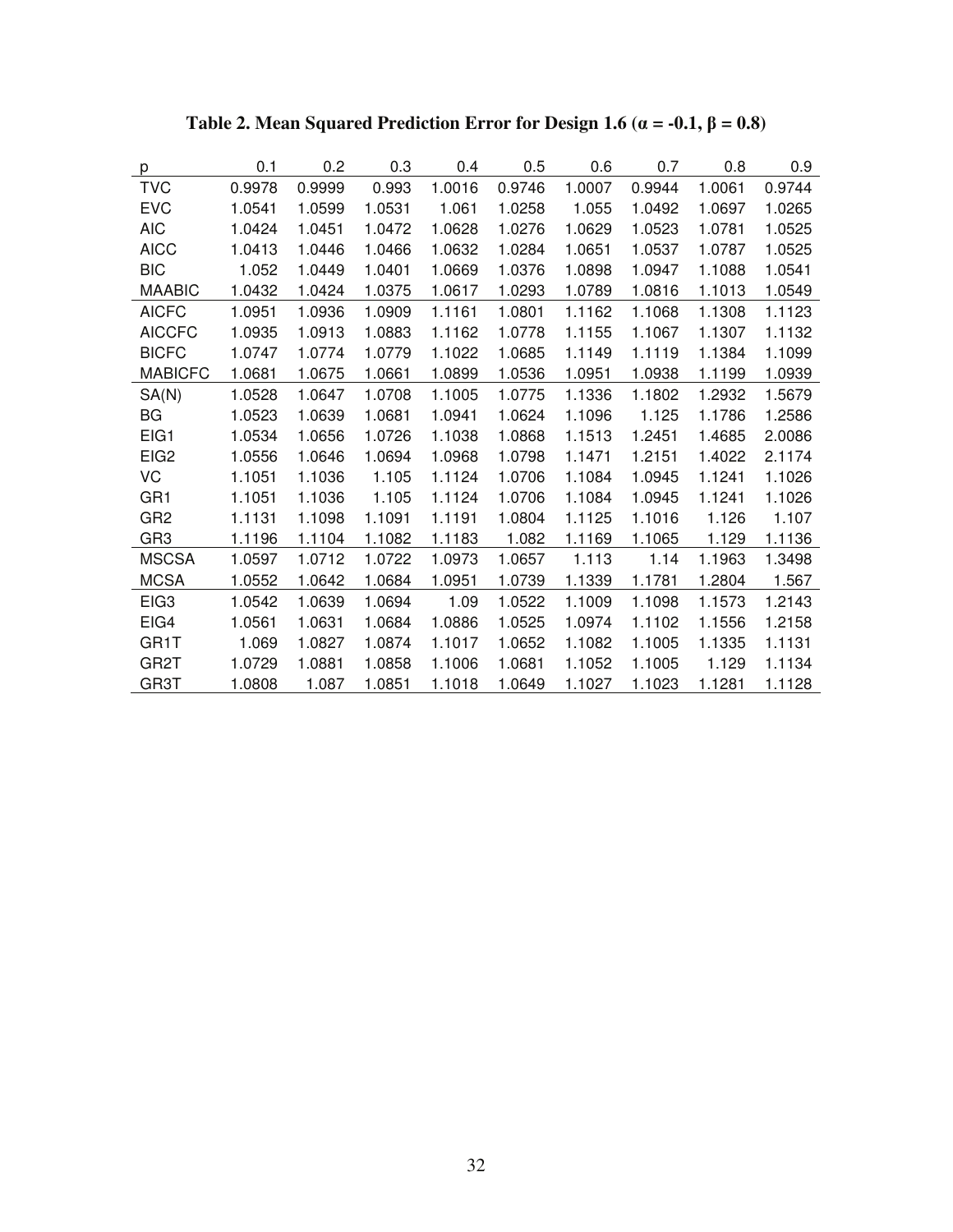| p                | 0.1    | 0.2    | 0.3    | 0.4    | 0.5    | 0.6    | 0.7    | 0.8    | 0.9    |
|------------------|--------|--------|--------|--------|--------|--------|--------|--------|--------|
| <b>TVC</b>       | 0.9978 | 0.9999 | 0.993  | 1.0016 | 0.9746 | 1.0007 | 0.9944 | 1.0061 | 0.9744 |
| <b>EVC</b>       | 1.0541 | 1.0599 | 1.0531 | 1.061  | 1.0258 | 1.055  | 1.0492 | 1.0697 | 1.0265 |
| <b>AIC</b>       | 1.0424 | 1.0451 | 1.0472 | 1.0628 | 1.0276 | 1.0629 | 1.0523 | 1.0781 | 1.0525 |
| <b>AICC</b>      | 1.0413 | 1.0446 | 1.0466 | 1.0632 | 1.0284 | 1.0651 | 1.0537 | 1.0787 | 1.0525 |
| <b>BIC</b>       | 1.052  | 1.0449 | 1.0401 | 1.0669 | 1.0376 | 1.0898 | 1.0947 | 1.1088 | 1.0541 |
| <b>MAABIC</b>    | 1.0432 | 1.0424 | 1.0375 | 1.0617 | 1.0293 | 1.0789 | 1.0816 | 1.1013 | 1.0549 |
| <b>AICFC</b>     | 1.0951 | 1.0936 | 1.0909 | 1.1161 | 1.0801 | 1.1162 | 1.1068 | 1.1308 | 1.1123 |
| <b>AICCFC</b>    | 1.0935 | 1.0913 | 1.0883 | 1.1162 | 1.0778 | 1.1155 | 1.1067 | 1.1307 | 1.1132 |
| <b>BICFC</b>     | 1.0747 | 1.0774 | 1.0779 | 1.1022 | 1.0685 | 1.1149 | 1.1119 | 1.1384 | 1.1099 |
| <b>MABICFC</b>   | 1.0681 | 1.0675 | 1.0661 | 1.0899 | 1.0536 | 1.0951 | 1.0938 | 1.1199 | 1.0939 |
| SA(N)            | 1.0528 | 1.0647 | 1.0708 | 1.1005 | 1.0775 | 1.1336 | 1.1802 | 1.2932 | 1.5679 |
| BG               | 1.0523 | 1.0639 | 1.0681 | 1.0941 | 1.0624 | 1.1096 | 1.125  | 1.1786 | 1.2586 |
| EIG1             | 1.0534 | 1.0656 | 1.0726 | 1.1038 | 1.0868 | 1.1513 | 1.2451 | 1.4685 | 2.0086 |
| EIG <sub>2</sub> | 1.0556 | 1.0646 | 1.0694 | 1.0968 | 1.0798 | 1.1471 | 1.2151 | 1.4022 | 2.1174 |
| VC               | 1.1051 | 1.1036 | 1.105  | 1.1124 | 1.0706 | 1.1084 | 1.0945 | 1.1241 | 1.1026 |
| GR <sub>1</sub>  | 1.1051 | 1.1036 | 1.105  | 1.1124 | 1.0706 | 1.1084 | 1.0945 | 1.1241 | 1.1026 |
| GR <sub>2</sub>  | 1.1131 | 1.1098 | 1.1091 | 1.1191 | 1.0804 | 1.1125 | 1.1016 | 1.126  | 1.107  |
| GR <sub>3</sub>  | 1.1196 | 1.1104 | 1.1082 | 1.1183 | 1.082  | 1.1169 | 1.1065 | 1.129  | 1.1136 |
| <b>MSCSA</b>     | 1.0597 | 1.0712 | 1.0722 | 1.0973 | 1.0657 | 1.113  | 1.14   | 1.1963 | 1.3498 |
| <b>MCSA</b>      | 1.0552 | 1.0642 | 1.0684 | 1.0951 | 1.0739 | 1.1339 | 1.1781 | 1.2804 | 1.567  |
| EIG <sub>3</sub> | 1.0542 | 1.0639 | 1.0694 | 1.09   | 1.0522 | 1.1009 | 1.1098 | 1.1573 | 1.2143 |
| EIG4             | 1.0561 | 1.0631 | 1.0684 | 1.0886 | 1.0525 | 1.0974 | 1.1102 | 1.1556 | 1.2158 |
| GR1T             | 1.069  | 1.0827 | 1.0874 | 1.1017 | 1.0652 | 1.1082 | 1.1005 | 1.1335 | 1.1131 |
| GR2T             | 1.0729 | 1.0881 | 1.0858 | 1.1006 | 1.0681 | 1.1052 | 1.1005 | 1.129  | 1.1134 |
| GR3T             | 1.0808 | 1.087  | 1.0851 | 1.1018 | 1.0649 | 1.1027 | 1.1023 | 1.1281 | 1.1128 |

Table 2. Mean Squared Prediction Error for Design 1.6 ( $\alpha = -0.1$ ,  $\beta = 0.8$ )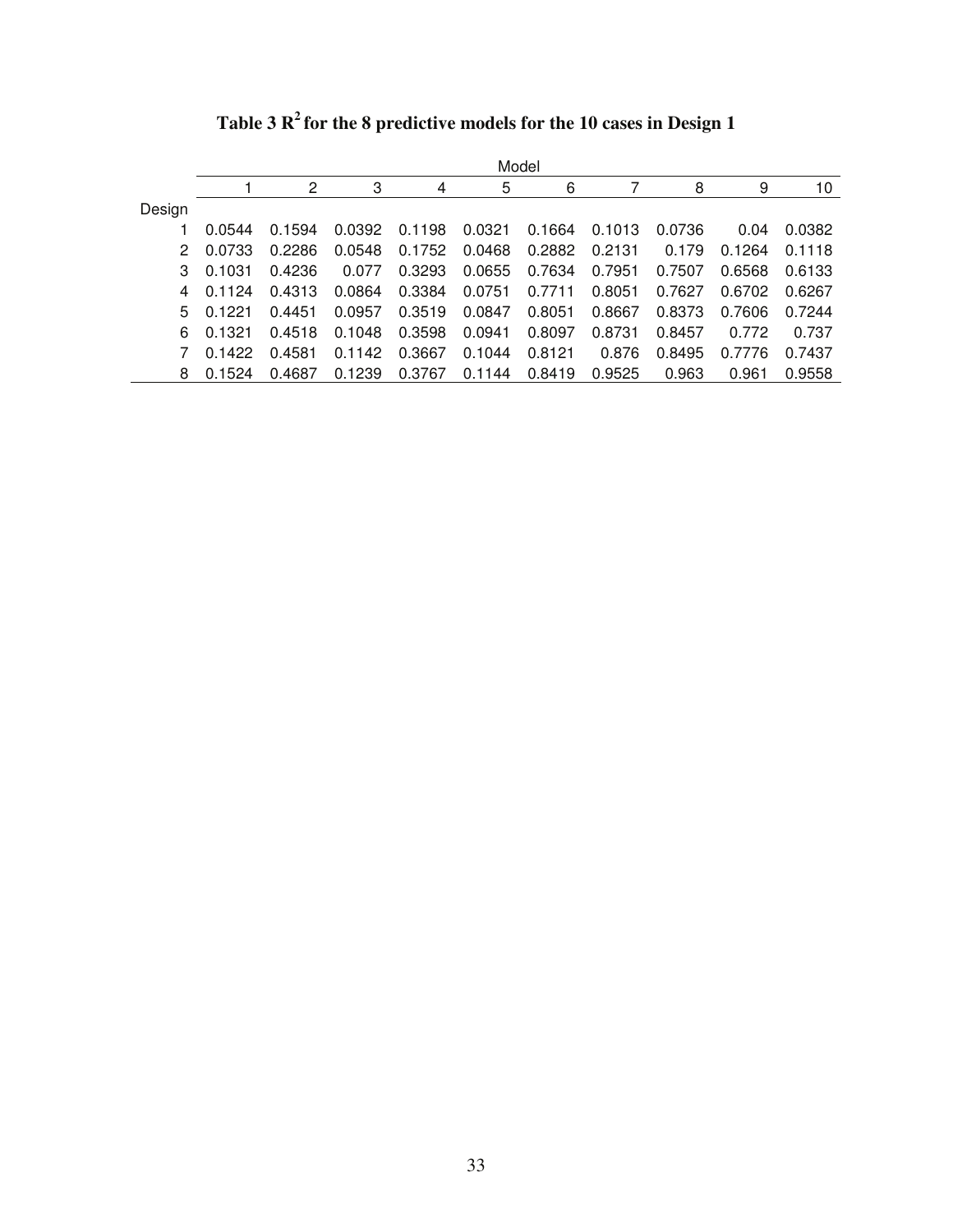|        | Model  |        |        |        |        |        |        |        |        |        |
|--------|--------|--------|--------|--------|--------|--------|--------|--------|--------|--------|
|        |        | 2      | 3      | 4      | 5      | 6      |        | 8      | 9      | 10     |
| Design |        |        |        |        |        |        |        |        |        |        |
|        | 0.0544 | 0.1594 | 0.0392 | 0.1198 | 0.0321 | 0.1664 | 0.1013 | 0.0736 | 0.04   | 0.0382 |
| 2      | 0.0733 | 0.2286 | 0.0548 | 0.1752 | 0.0468 | 0.2882 | 0.2131 | 0.179  | 0.1264 | 0.1118 |
| 3      | 0.1031 | 0.4236 | 0.077  | 0.3293 | 0.0655 | 0.7634 | 0.7951 | 0.7507 | 0.6568 | 0.6133 |
| 4      | 0.1124 | 0.4313 | 0.0864 | 0.3384 | 0.0751 | 0.7711 | 0.8051 | 0.7627 | 0.6702 | 0.6267 |
| 5.     | 0.1221 | 0.4451 | 0.0957 | 0.3519 | 0.0847 | 0.8051 | 0.8667 | 0.8373 | 0.7606 | 0.7244 |
| 6      | 0.1321 | 0.4518 | 0.1048 | 0.3598 | 0.0941 | 0.8097 | 0.8731 | 0.8457 | 0.772  | 0.737  |
|        | 0.1422 | 0.4581 | 0.1142 | 0.3667 | 0.1044 | 0.8121 | 0.876  | 0.8495 | 0.7776 | 0.7437 |
| 8      | 0.1524 | 0.4687 | 0.1239 | 0.3767 | 0.1144 | 0.8419 | 0.9525 | 0.963  | 0.961  | 0.9558 |

**Table 3 R<sup>2</sup> for the 8 predictive models for the 10 cases in Design 1**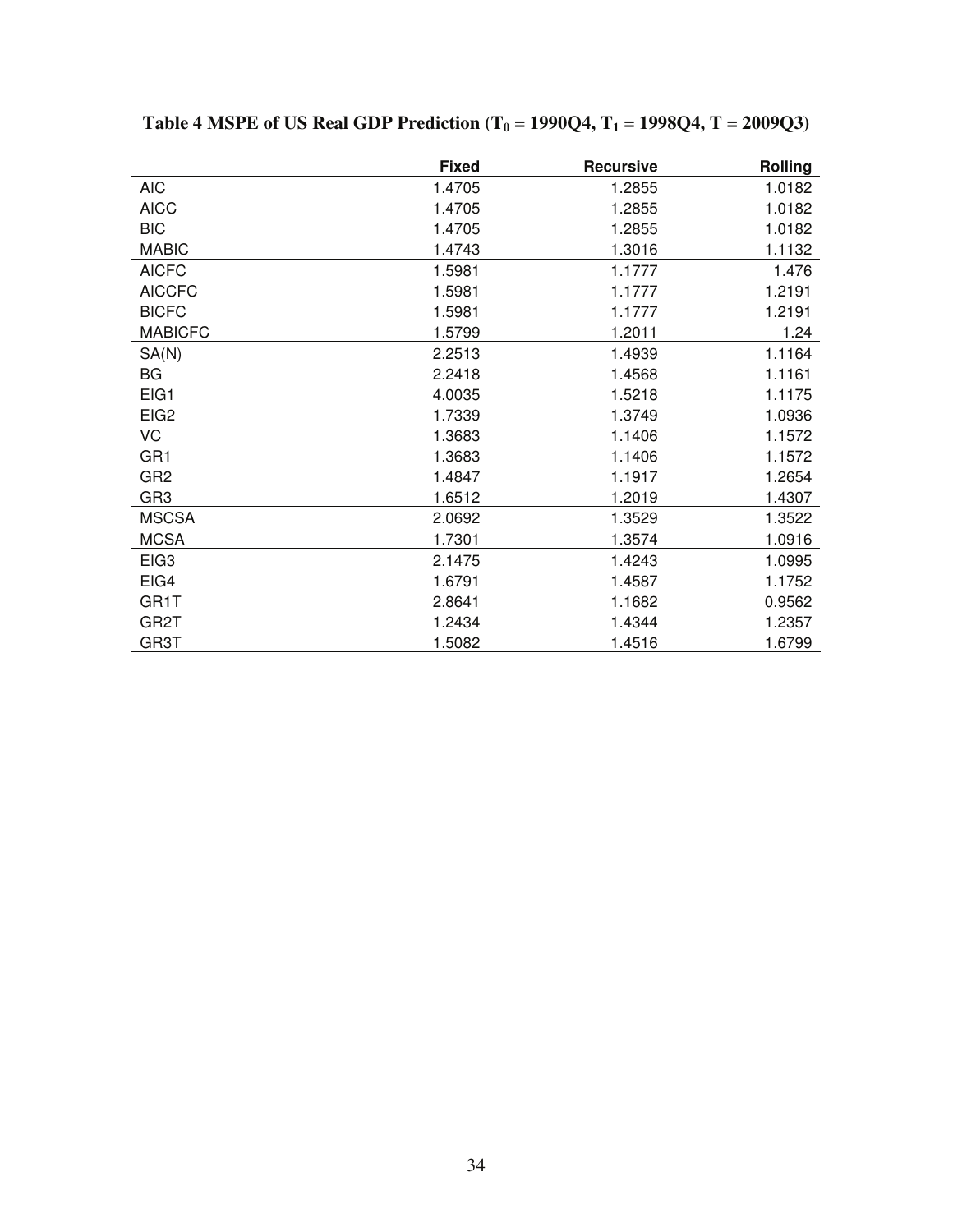|                   | <b>Fixed</b> | <b>Recursive</b> | <b>Rolling</b> |
|-------------------|--------------|------------------|----------------|
| <b>AIC</b>        | 1.4705       | 1.2855           | 1.0182         |
| <b>AICC</b>       | 1.4705       | 1.2855           | 1.0182         |
| <b>BIC</b>        | 1.4705       | 1.2855           | 1.0182         |
| <b>MABIC</b>      | 1.4743       | 1.3016           | 1.1132         |
| <b>AICFC</b>      | 1.5981       | 1.1777           | 1.476          |
| <b>AICCFC</b>     | 1.5981       | 1.1777           | 1.2191         |
| <b>BICFC</b>      | 1.5981       | 1.1777           | 1.2191         |
| <b>MABICFC</b>    | 1.5799       | 1.2011           | 1.24           |
| SA(N)             | 2.2513       | 1.4939           | 1.1164         |
| BG                | 2.2418       | 1.4568           | 1.1161         |
| EIG1              | 4.0035       | 1.5218           | 1.1175         |
| EIG <sub>2</sub>  | 1.7339       | 1.3749           | 1.0936         |
| VC                | 1.3683       | 1.1406           | 1.1572         |
| GR <sub>1</sub>   | 1.3683       | 1.1406           | 1.1572         |
| GR <sub>2</sub>   | 1.4847       | 1.1917           | 1.2654         |
| GR <sub>3</sub>   | 1.6512       | 1.2019           | 1.4307         |
| <b>MSCSA</b>      | 2.0692       | 1.3529           | 1.3522         |
| <b>MCSA</b>       | 1.7301       | 1.3574           | 1.0916         |
| EIG <sub>3</sub>  | 2.1475       | 1.4243           | 1.0995         |
| EIG4              | 1.6791       | 1.4587           | 1.1752         |
| GR1T              | 2.8641       | 1.1682           | 0.9562         |
| GR <sub>2</sub> T | 1.2434       | 1.4344           | 1.2357         |
| GR3T              | 1.5082       | 1.4516           | 1.6799         |

**Table 4 MSPE of US Real GDP Prediction (T0 = 1990Q4, T1 = 1998Q4, T = 2009Q3)**